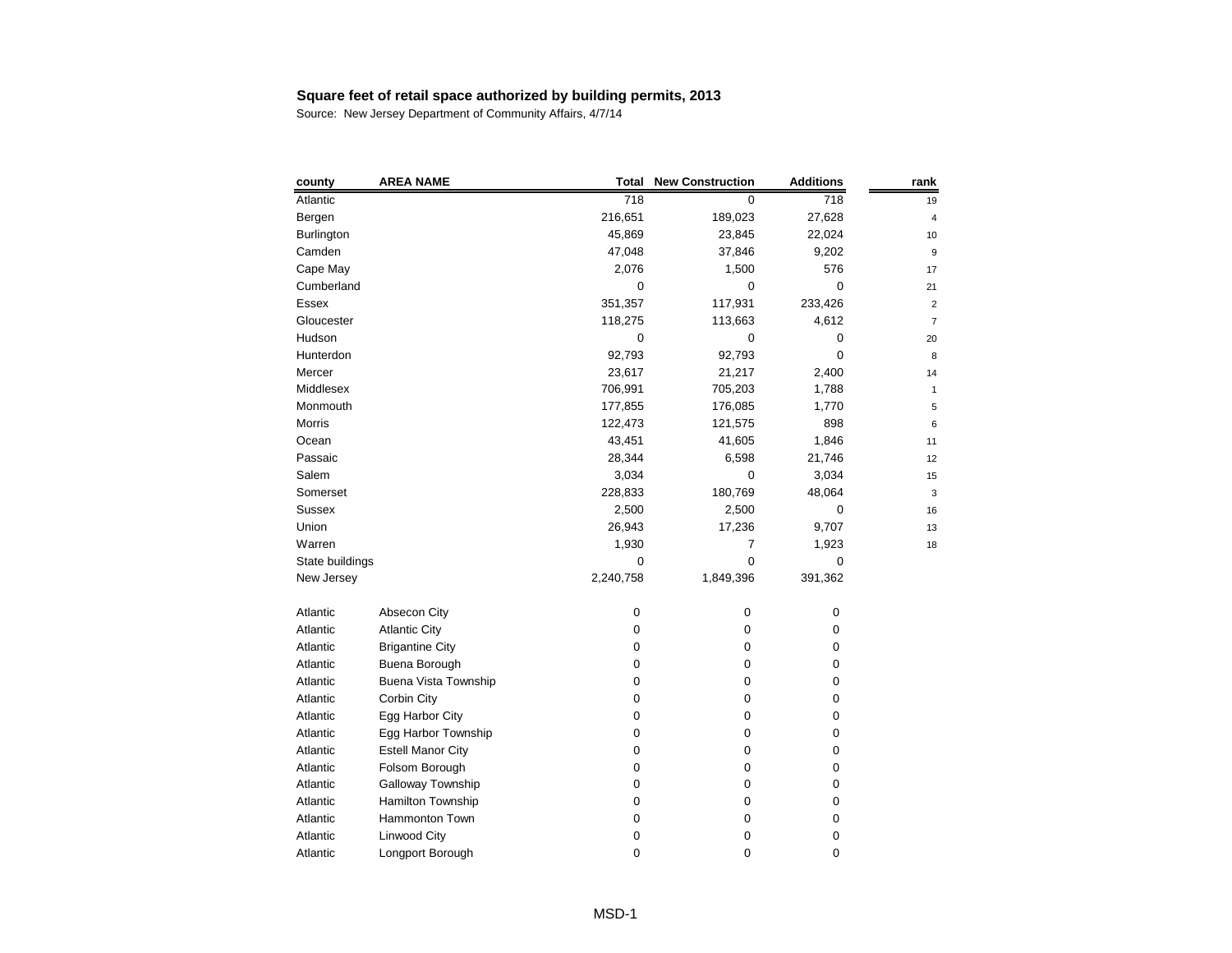| county          | <b>AREA NAME</b>            | <b>Total</b> | <b>New Construction</b> | <b>Additions</b> | rank                    |
|-----------------|-----------------------------|--------------|-------------------------|------------------|-------------------------|
| Atlantic        |                             | 718          | 0                       | 718              | 19                      |
| Bergen          |                             | 216,651      | 189,023                 | 27,628           | 4                       |
| Burlington      |                             | 45,869       | 23,845                  | 22,024           | 10                      |
| Camden          |                             | 47,048       | 37,846                  | 9,202            | 9                       |
| Cape May        |                             | 2,076        | 1,500                   | 576              | 17                      |
| Cumberland      |                             | 0            | 0                       | $\mathbf 0$      | 21                      |
| Essex           |                             | 351,357      | 117,931                 | 233,426          | $\overline{\mathbf{c}}$ |
| Gloucester      |                             | 118,275      | 113,663                 | 4,612            | 7                       |
| Hudson          |                             | 0            | 0                       | 0                | 20                      |
| Hunterdon       |                             | 92,793       | 92,793                  | 0                | 8                       |
| Mercer          |                             | 23,617       | 21,217                  | 2,400            | 14                      |
| Middlesex       |                             | 706,991      | 705,203                 | 1,788            | $\mathbf{1}$            |
| Monmouth        |                             | 177,855      | 176,085                 | 1,770            | 5                       |
| Morris          |                             | 122,473      | 121,575                 | 898              | 6                       |
| Ocean           |                             | 43,451       | 41,605                  | 1,846            | 11                      |
| Passaic         |                             | 28,344       | 6,598                   | 21,746           | 12                      |
| Salem           |                             | 3,034        | 0                       | 3,034            | 15                      |
| Somerset        |                             | 228,833      | 180,769                 | 48,064           | 3                       |
| <b>Sussex</b>   |                             | 2,500        | 2,500                   | 0                | 16                      |
| Union           |                             | 26,943       | 17,236                  | 9,707            | 13                      |
| Warren          |                             | 1,930        | 7                       | 1,923            | 18                      |
| State buildings |                             | 0            | 0                       | 0                |                         |
| New Jersey      |                             | 2,240,758    | 1,849,396               | 391,362          |                         |
| Atlantic        | Absecon City                | 0            | $\pmb{0}$               | 0                |                         |
| Atlantic        | <b>Atlantic City</b>        | 0            | 0                       | 0                |                         |
| Atlantic        | <b>Brigantine City</b>      | 0            | 0                       | 0                |                         |
| Atlantic        | Buena Borough               | 0            | 0                       | 0                |                         |
| Atlantic        | <b>Buena Vista Township</b> | 0            | 0                       | 0                |                         |
| Atlantic        | <b>Corbin City</b>          | 0            | 0                       | 0                |                         |
| Atlantic        | Egg Harbor City             | 0            | 0                       | 0                |                         |
| Atlantic        | Egg Harbor Township         | 0            | 0                       | 0                |                         |
| Atlantic        | <b>Estell Manor City</b>    | 0            | 0                       | 0                |                         |
| Atlantic        | Folsom Borough              | 0            | 0                       | 0                |                         |
| Atlantic        | Galloway Township           | 0            | 0                       | 0                |                         |
| Atlantic        | Hamilton Township           | 0            | 0                       | 0                |                         |
| Atlantic        | Hammonton Town              | 0            | 0                       | 0                |                         |
| Atlantic        | Linwood City                | 0            | 0                       | 0                |                         |
| Atlantic        | Longport Borough            | 0            | 0                       | 0                |                         |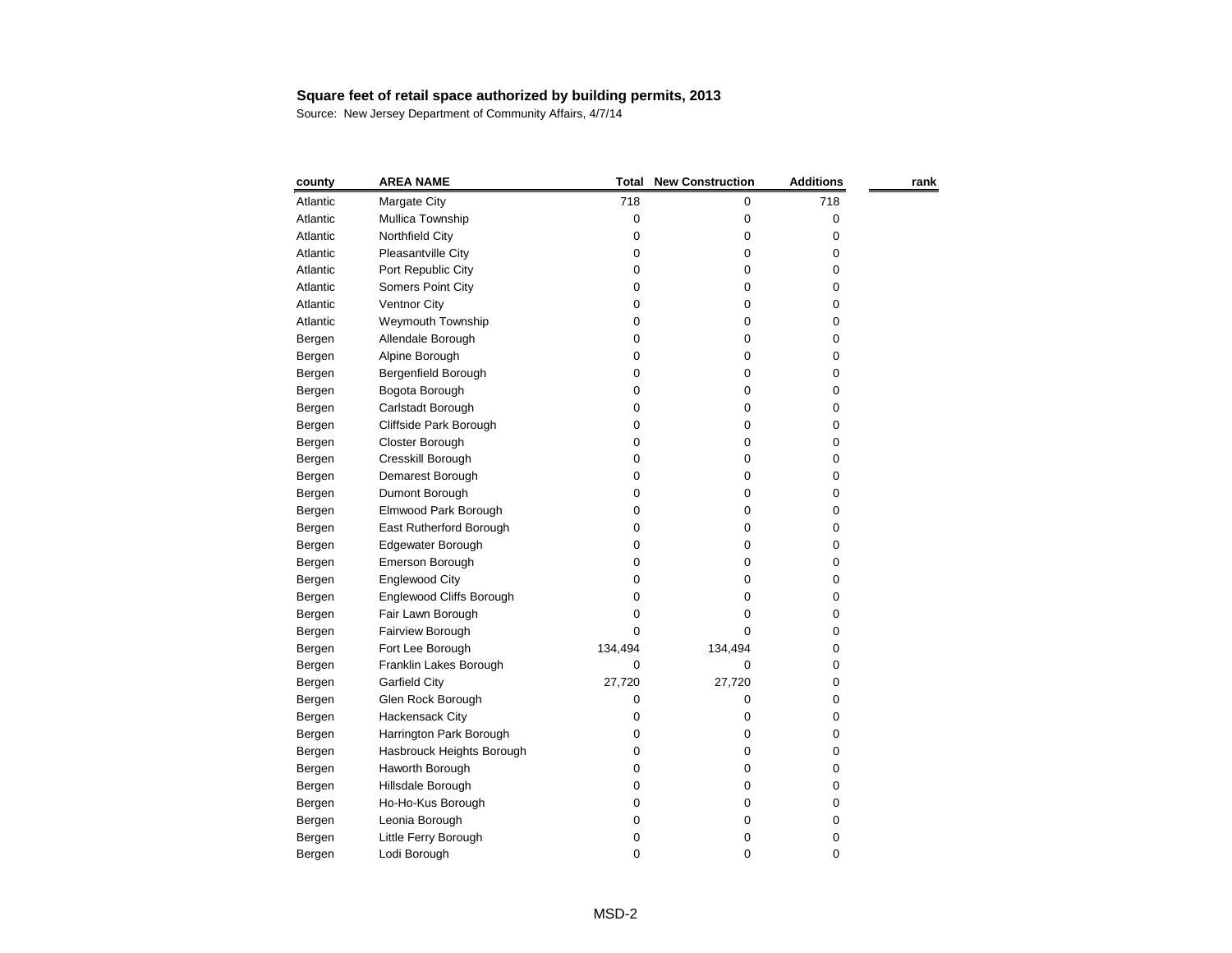| county   | <b>AREA NAME</b>                | <b>Total</b> | <b>New Construction</b> | <b>Additions</b> | rank |
|----------|---------------------------------|--------------|-------------------------|------------------|------|
| Atlantic | Margate City                    | 718          | 0                       | 718              |      |
| Atlantic | Mullica Township                | 0            | 0                       | 0                |      |
| Atlantic | Northfield City                 | 0            | 0                       | 0                |      |
| Atlantic | Pleasantville City              | 0            | 0                       | 0                |      |
| Atlantic | Port Republic City              | 0            | 0                       | 0                |      |
| Atlantic | Somers Point City               | 0            | 0                       | 0                |      |
| Atlantic | <b>Ventnor City</b>             | 0            | 0                       | 0                |      |
| Atlantic | Weymouth Township               | 0            | 0                       | 0                |      |
| Bergen   | Allendale Borough               | 0            | 0                       | 0                |      |
| Bergen   | Alpine Borough                  | 0            | 0                       | 0                |      |
| Bergen   | Bergenfield Borough             | 0            | 0                       | 0                |      |
| Bergen   | Bogota Borough                  | 0            | 0                       | 0                |      |
| Bergen   | Carlstadt Borough               | 0            | 0                       | 0                |      |
| Bergen   | Cliffside Park Borough          | 0            | 0                       | 0                |      |
| Bergen   | Closter Borough                 | 0            | 0                       | 0                |      |
| Bergen   | Cresskill Borough               | 0            | 0                       | 0                |      |
| Bergen   | Demarest Borough                | 0            | 0                       | 0                |      |
| Bergen   | Dumont Borough                  | 0            | 0                       | 0                |      |
| Bergen   | Elmwood Park Borough            | 0            | 0                       | 0                |      |
| Bergen   | East Rutherford Borough         | 0            | 0                       | 0                |      |
| Bergen   | Edgewater Borough               | 0            | 0                       | 0                |      |
| Bergen   | <b>Emerson Borough</b>          | 0            | 0                       | 0                |      |
| Bergen   | <b>Englewood City</b>           | 0            | 0                       | 0                |      |
| Bergen   | <b>Englewood Cliffs Borough</b> | 0            | 0                       | 0                |      |
| Bergen   | Fair Lawn Borough               | 0            | 0                       | 0                |      |
| Bergen   | Fairview Borough                | 0            | 0                       | 0                |      |
| Bergen   | Fort Lee Borough                | 134,494      | 134,494                 | 0                |      |
| Bergen   | Franklin Lakes Borough          | 0            | 0                       | 0                |      |
| Bergen   | <b>Garfield City</b>            | 27,720       | 27,720                  | 0                |      |
| Bergen   | Glen Rock Borough               | 0            | 0                       | 0                |      |
| Bergen   | Hackensack City                 | 0            | 0                       | 0                |      |
| Bergen   | Harrington Park Borough         | 0            | 0                       | 0                |      |
| Bergen   | Hasbrouck Heights Borough       | 0            | 0                       | 0                |      |
| Bergen   | Haworth Borough                 | 0            | 0                       | 0                |      |
| Bergen   | Hillsdale Borough               | 0            | 0                       | 0                |      |
| Bergen   | Ho-Ho-Kus Borough               | 0            | 0                       | 0                |      |
| Bergen   | Leonia Borough                  | 0            | 0                       | 0                |      |
| Bergen   | Little Ferry Borough            | 0            | 0                       | 0                |      |
| Bergen   | Lodi Borough                    | 0            | 0                       | 0                |      |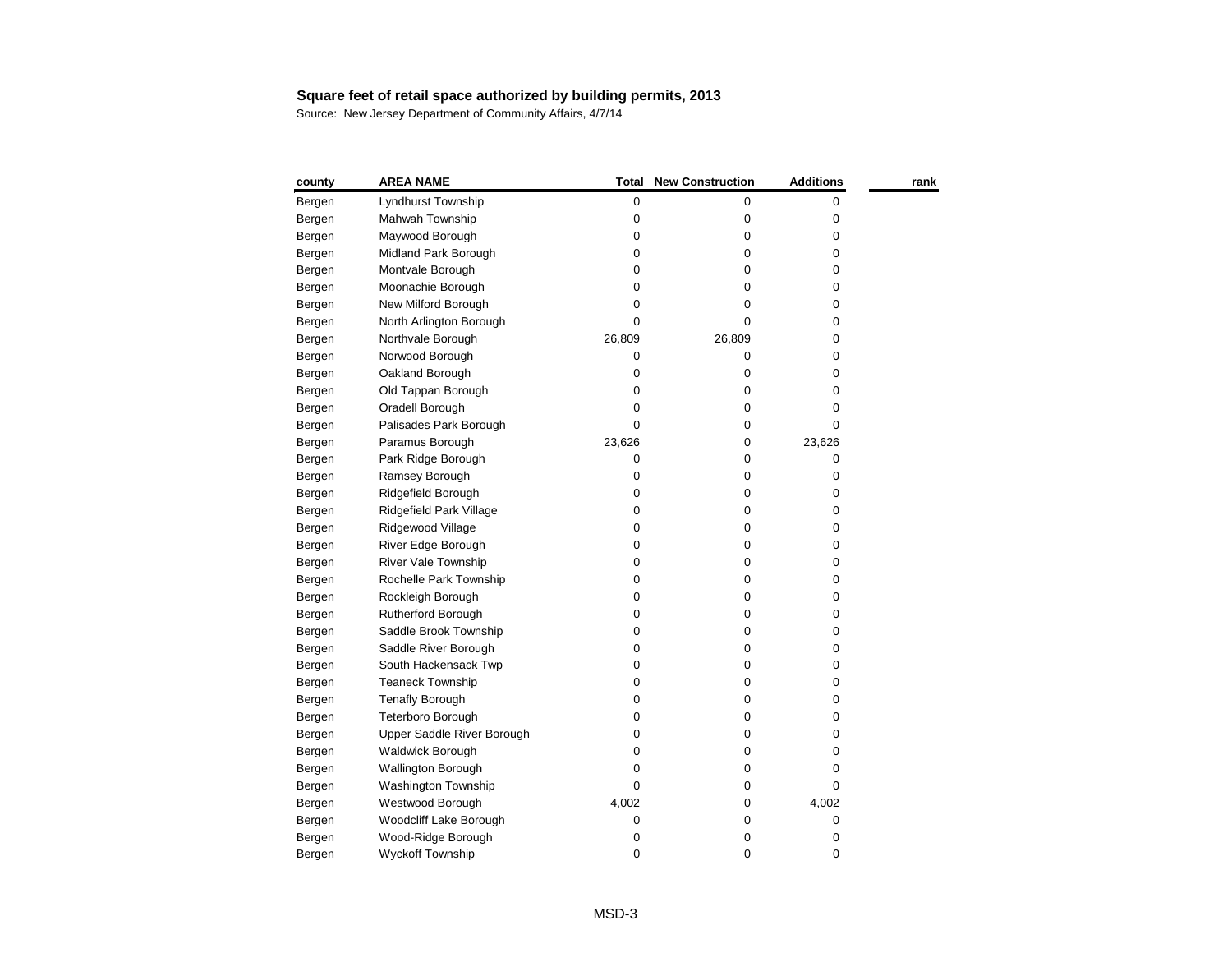| county | <b>AREA NAME</b>           | Total  | <b>New Construction</b> | <b>Additions</b> | rank |
|--------|----------------------------|--------|-------------------------|------------------|------|
| Bergen | Lyndhurst Township         | 0      | 0                       | 0                |      |
| Bergen | Mahwah Township            | 0      | 0                       | 0                |      |
| Bergen | Maywood Borough            | 0      | 0                       | 0                |      |
| Bergen | Midland Park Borough       | 0      | 0                       | 0                |      |
| Bergen | Montvale Borough           | 0      | 0                       | 0                |      |
| Bergen | Moonachie Borough          | 0      | 0                       | 0                |      |
| Bergen | New Milford Borough        | 0      | 0                       | 0                |      |
| Bergen | North Arlington Borough    | 0      | 0                       | 0                |      |
| Bergen | Northvale Borough          | 26,809 | 26,809                  | 0                |      |
| Bergen | Norwood Borough            | 0      | 0                       | 0                |      |
| Bergen | Oakland Borough            | 0      | 0                       | 0                |      |
| Bergen | Old Tappan Borough         | 0      | 0                       | 0                |      |
| Bergen | Oradell Borough            | 0      | 0                       | 0                |      |
| Bergen | Palisades Park Borough     | 0      | 0                       | 0                |      |
| Bergen | Paramus Borough            | 23,626 | 0                       | 23,626           |      |
| Bergen | Park Ridge Borough         | 0      | 0                       | 0                |      |
| Bergen | Ramsey Borough             | 0      | 0                       | 0                |      |
| Bergen | Ridgefield Borough         | 0      | 0                       | 0                |      |
| Bergen | Ridgefield Park Village    | 0      | 0                       | 0                |      |
| Bergen | Ridgewood Village          | 0      | 0                       | 0                |      |
| Bergen | River Edge Borough         | 0      | 0                       | 0                |      |
| Bergen | River Vale Township        | 0      | 0                       | 0                |      |
| Bergen | Rochelle Park Township     | 0      | 0                       | 0                |      |
| Bergen | Rockleigh Borough          | 0      | 0                       | 0                |      |
| Bergen | <b>Rutherford Borough</b>  | 0      | 0                       | 0                |      |
| Bergen | Saddle Brook Township      | 0      | 0                       | 0                |      |
| Bergen | Saddle River Borough       | 0      | 0                       | 0                |      |
| Bergen | South Hackensack Twp       | 0      | 0                       | 0                |      |
| Bergen | <b>Teaneck Township</b>    | 0      | 0                       | 0                |      |
| Bergen | <b>Tenafly Borough</b>     | 0      | 0                       | 0                |      |
| Bergen | Teterboro Borough          | 0      | 0                       | 0                |      |
| Bergen | Upper Saddle River Borough | 0      | 0                       | 0                |      |
| Bergen | Waldwick Borough           | 0      | 0                       | 0                |      |
| Bergen | <b>Wallington Borough</b>  | 0      | 0                       | 0                |      |
| Bergen | Washington Township        | 0      | 0                       | 0                |      |
| Bergen | Westwood Borough           | 4,002  | 0                       | 4,002            |      |
| Bergen | Woodcliff Lake Borough     | 0      | 0                       | 0                |      |
| Bergen | Wood-Ridge Borough         | 0      | 0                       | 0                |      |
| Bergen | Wyckoff Township           | 0      | 0                       | 0                |      |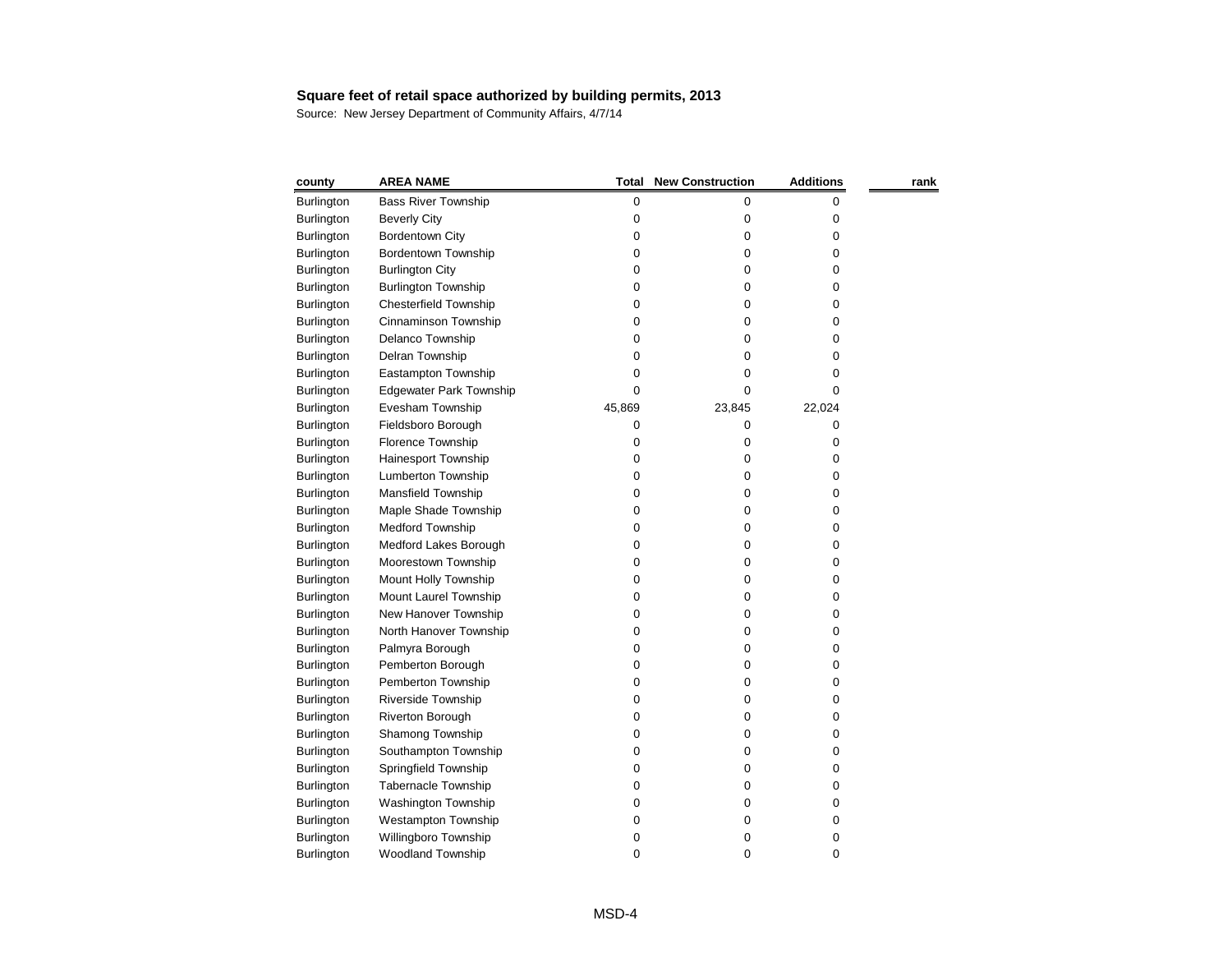| county            | <b>AREA NAME</b>               | Total  | <b>New Construction</b> | <b>Additions</b> | rank |
|-------------------|--------------------------------|--------|-------------------------|------------------|------|
| Burlington        | <b>Bass River Township</b>     | 0      | 0                       | 0                |      |
| Burlington        | <b>Beverly City</b>            | 0      | 0                       | 0                |      |
| Burlington        | <b>Bordentown City</b>         | 0      | 0                       | 0                |      |
| <b>Burlington</b> | Bordentown Township            | 0      | 0                       | 0                |      |
| <b>Burlington</b> | <b>Burlington City</b>         | 0      | 0                       | 0                |      |
| Burlington        | <b>Burlington Township</b>     | 0      | 0                       | 0                |      |
| <b>Burlington</b> | <b>Chesterfield Township</b>   | 0      | 0                       | 0                |      |
| Burlington        | Cinnaminson Township           | 0      | 0                       | 0                |      |
| <b>Burlington</b> | Delanco Township               | 0      | 0                       | 0                |      |
| <b>Burlington</b> | Delran Township                | 0      | Ω                       | 0                |      |
| Burlington        | Eastampton Township            | 0      | 0                       | 0                |      |
| <b>Burlington</b> | <b>Edgewater Park Township</b> | 0      | 0                       | 0                |      |
| <b>Burlington</b> | Evesham Township               | 45,869 | 23,845                  | 22,024           |      |
| <b>Burlington</b> | Fieldsboro Borough             | 0      | 0                       | 0                |      |
| <b>Burlington</b> | Florence Township              | 0      | 0                       | 0                |      |
| <b>Burlington</b> | Hainesport Township            | 0      | 0                       | 0                |      |
| Burlington        | Lumberton Township             | 0      | 0                       | 0                |      |
| <b>Burlington</b> | Mansfield Township             | 0      | 0                       | 0                |      |
| <b>Burlington</b> | Maple Shade Township           | 0      | 0                       | 0                |      |
| Burlington        | <b>Medford Township</b>        | 0      | 0                       | 0                |      |
| <b>Burlington</b> | Medford Lakes Borough          | 0      | 0                       | 0                |      |
| <b>Burlington</b> | Moorestown Township            | 0      | 0                       | 0                |      |
| Burlington        | Mount Holly Township           | 0      | 0                       | 0                |      |
| <b>Burlington</b> | Mount Laurel Township          | 0      | 0                       | 0                |      |
| <b>Burlington</b> | New Hanover Township           | 0      | 0                       | 0                |      |
| <b>Burlington</b> | North Hanover Township         | 0      | 0                       | 0                |      |
| <b>Burlington</b> | Palmyra Borough                | 0      | 0                       | 0                |      |
| Burlington        | Pemberton Borough              | 0      | 0                       | 0                |      |
| Burlington        | Pemberton Township             | 0      | 0                       | 0                |      |
| <b>Burlington</b> | Riverside Township             | 0      | 0                       | 0                |      |
| <b>Burlington</b> | Riverton Borough               | 0      | 0                       | 0                |      |
| Burlington        | Shamong Township               | 0      | 0                       | 0                |      |
| Burlington        | Southampton Township           | 0      | 0                       | 0                |      |
| Burlington        | Springfield Township           | 0      | 0                       | 0                |      |
| <b>Burlington</b> | <b>Tabernacle Township</b>     | 0      | 0                       | 0                |      |
| Burlington        | Washington Township            | 0      | 0                       | 0                |      |
| Burlington        | <b>Westampton Township</b>     | 0      | 0                       | 0                |      |
| <b>Burlington</b> | Willingboro Township           | 0      | 0                       | 0                |      |
| <b>Burlington</b> | Woodland Township              | 0      | 0                       | 0                |      |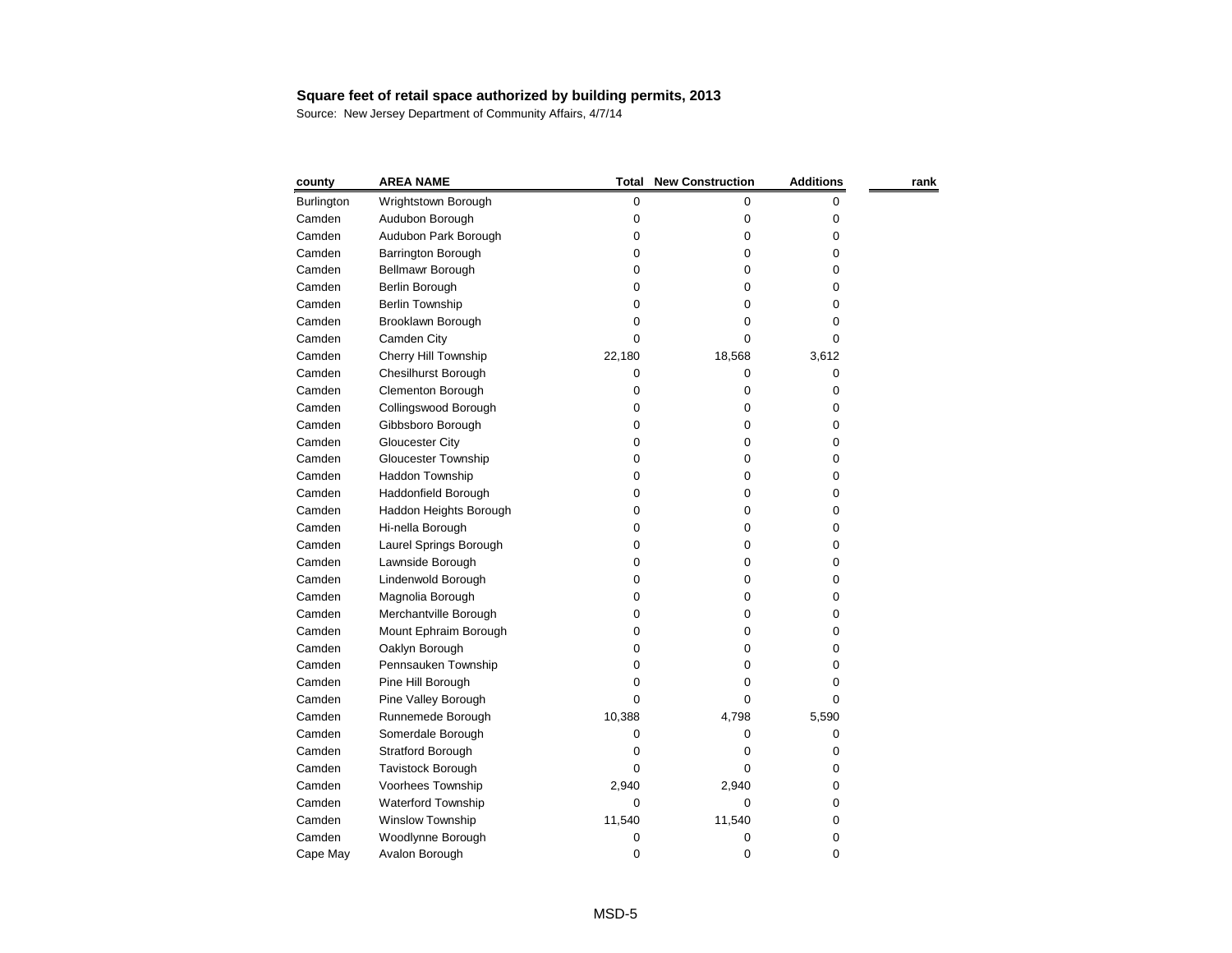| county            | <b>AREA NAME</b>           | <b>Total</b> | <b>New Construction</b> | <b>Additions</b> | rank |
|-------------------|----------------------------|--------------|-------------------------|------------------|------|
| <b>Burlington</b> | Wrightstown Borough        | 0            | 0                       | 0                |      |
| Camden            | Audubon Borough            | 0            | 0                       | 0                |      |
| Camden            | Audubon Park Borough       | 0            | 0                       | 0                |      |
| Camden            | Barrington Borough         | 0            | 0                       | 0                |      |
| Camden            | <b>Bellmawr Borough</b>    | 0            | 0                       | 0                |      |
| Camden            | Berlin Borough             | 0            | 0                       | 0                |      |
| Camden            | <b>Berlin Township</b>     | 0            | 0                       | 0                |      |
| Camden            | Brooklawn Borough          | 0            | 0                       | 0                |      |
| Camden            | Camden City                | 0            | 0                       | 0                |      |
| Camden            | Cherry Hill Township       | 22,180       | 18,568                  | 3,612            |      |
| Camden            | <b>Chesilhurst Borough</b> | 0            | 0                       | 0                |      |
| Camden            | <b>Clementon Borough</b>   | 0            | 0                       | 0                |      |
| Camden            | Collingswood Borough       | 0            | 0                       | 0                |      |
| Camden            | Gibbsboro Borough          | 0            | 0                       | 0                |      |
| Camden            | <b>Gloucester City</b>     | 0            | 0                       | 0                |      |
| Camden            | <b>Gloucester Township</b> | 0            | 0                       | 0                |      |
| Camden            | Haddon Township            | 0            | 0                       | 0                |      |
| Camden            | Haddonfield Borough        | 0            | 0                       | 0                |      |
| Camden            | Haddon Heights Borough     | 0            | 0                       | 0                |      |
| Camden            | Hi-nella Borough           | 0            | 0                       | 0                |      |
| Camden            | Laurel Springs Borough     | 0            | 0                       | 0                |      |
| Camden            | Lawnside Borough           | 0            | 0                       | 0                |      |
| Camden            | Lindenwold Borough         | 0            | 0                       | 0                |      |
| Camden            | Magnolia Borough           | 0            | 0                       | 0                |      |
| Camden            | Merchantville Borough      | 0            | 0                       | 0                |      |
| Camden            | Mount Ephraim Borough      | 0            | 0                       | 0                |      |
| Camden            | Oaklyn Borough             | 0            | 0                       | 0                |      |
| Camden            | Pennsauken Township        | 0            | 0                       | 0                |      |
| Camden            | Pine Hill Borough          | 0            | 0                       | 0                |      |
| Camden            | Pine Valley Borough        | 0            | 0                       | 0                |      |
| Camden            | Runnemede Borough          | 10,388       | 4,798                   | 5,590            |      |
| Camden            | Somerdale Borough          | 0            | 0                       | 0                |      |
| Camden            | <b>Stratford Borough</b>   | 0            | 0                       | 0                |      |
| Camden            | Tavistock Borough          | 0            | 0                       | 0                |      |
| Camden            | Voorhees Township          | 2,940        | 2,940                   | 0                |      |
| Camden            | <b>Waterford Township</b>  | 0            | 0                       | 0                |      |
| Camden            | Winslow Township           | 11,540       | 11,540                  | 0                |      |
| Camden            | Woodlynne Borough          | 0            | 0                       | 0                |      |
| Cape May          | Avalon Borough             | 0            | 0                       | $\pmb{0}$        |      |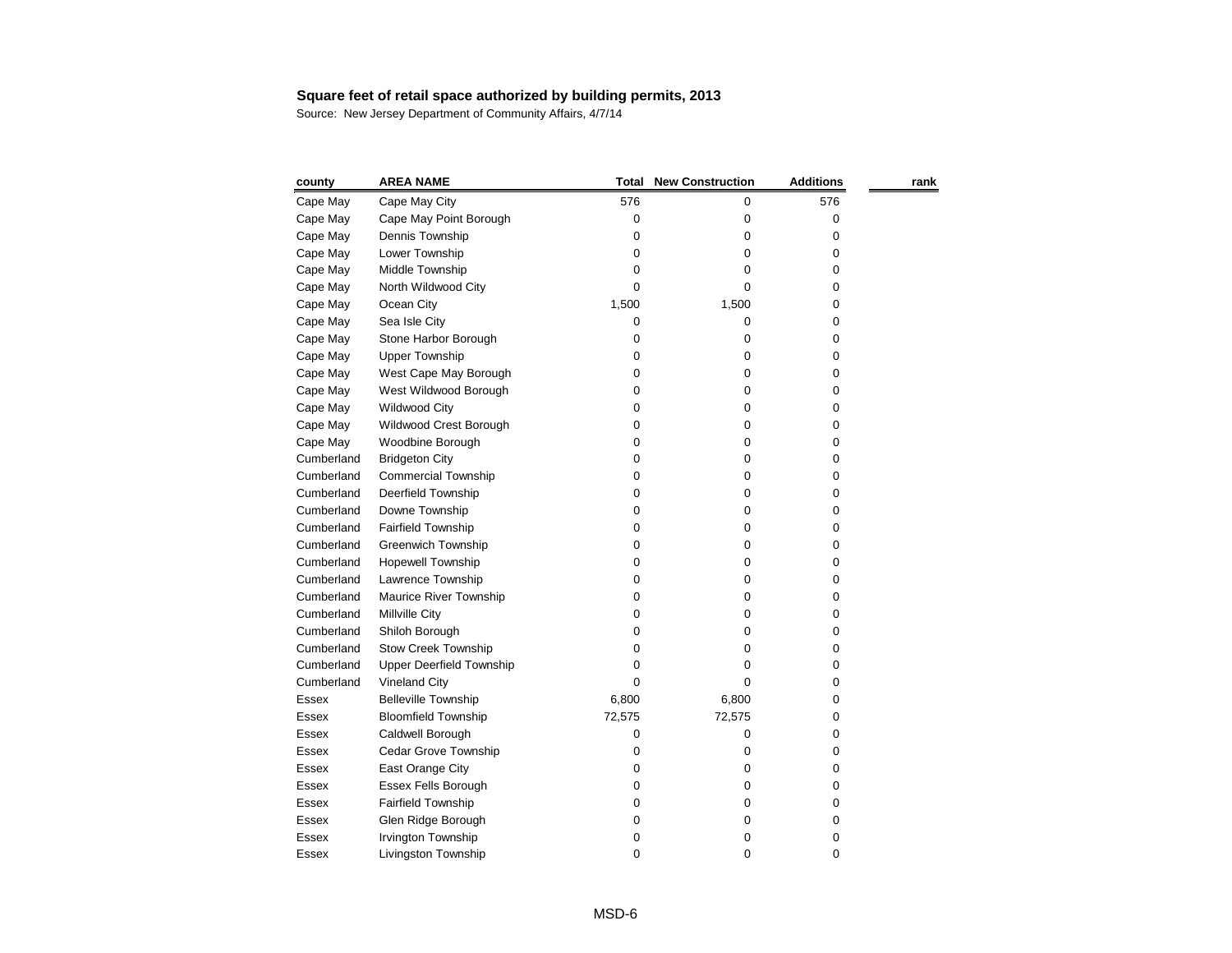| county     | <b>AREA NAME</b>                | Total  | <b>New Construction</b> | <b>Additions</b> | rank |
|------------|---------------------------------|--------|-------------------------|------------------|------|
| Cape May   | Cape May City                   | 576    | 0                       | 576              |      |
| Cape May   | Cape May Point Borough          | 0      | 0                       | 0                |      |
| Cape May   | Dennis Township                 | 0      | 0                       | 0                |      |
| Cape May   | Lower Township                  | 0      | 0                       | 0                |      |
| Cape May   | Middle Township                 | 0      | 0                       | 0                |      |
| Cape May   | North Wildwood City             | 0      | 0                       | 0                |      |
| Cape May   | Ocean City                      | 1,500  | 1,500                   | 0                |      |
| Cape May   | Sea Isle City                   | 0      | 0                       | 0                |      |
| Cape May   | Stone Harbor Borough            | 0      | 0                       | 0                |      |
| Cape May   | <b>Upper Township</b>           | 0      | 0                       | 0                |      |
| Cape May   | West Cape May Borough           | 0      | 0                       | 0                |      |
| Cape May   | West Wildwood Borough           | 0      | 0                       | 0                |      |
| Cape May   | <b>Wildwood City</b>            | 0      | 0                       | 0                |      |
| Cape May   | Wildwood Crest Borough          | 0      | 0                       | 0                |      |
| Cape May   | Woodbine Borough                | 0      | 0                       | 0                |      |
| Cumberland | <b>Bridgeton City</b>           | 0      | 0                       | 0                |      |
| Cumberland | <b>Commercial Township</b>      | 0      | 0                       | 0                |      |
| Cumberland | Deerfield Township              | 0      | 0                       | 0                |      |
| Cumberland | Downe Township                  | 0      | 0                       | 0                |      |
| Cumberland | Fairfield Township              | 0      | 0                       | 0                |      |
| Cumberland | <b>Greenwich Township</b>       | 0      | 0                       | 0                |      |
| Cumberland | Hopewell Township               | 0      | 0                       | 0                |      |
| Cumberland | Lawrence Township               | 0      | 0                       | 0                |      |
| Cumberland | Maurice River Township          | 0      | 0                       | 0                |      |
| Cumberland | Millville City                  | 0      | 0                       | 0                |      |
| Cumberland | Shiloh Borough                  | 0      | 0                       | 0                |      |
| Cumberland | <b>Stow Creek Township</b>      | 0      | 0                       | 0                |      |
| Cumberland | <b>Upper Deerfield Township</b> | 0      | 0                       | 0                |      |
| Cumberland | <b>Vineland City</b>            | 0      | 0                       | 0                |      |
| Essex      | <b>Belleville Township</b>      | 6,800  | 6,800                   | 0                |      |
| Essex      | <b>Bloomfield Township</b>      | 72,575 | 72,575                  | 0                |      |
| Essex      | Caldwell Borough                | 0      | 0                       | 0                |      |
| Essex      | Cedar Grove Township            | 0      | 0                       | 0                |      |
| Essex      | East Orange City                | 0      | 0                       | 0                |      |
| Essex      | <b>Essex Fells Borough</b>      | 0      | 0                       | 0                |      |
| Essex      | Fairfield Township              | 0      | 0                       | 0                |      |
| Essex      | Glen Ridge Borough              | 0      | 0                       | 0                |      |
| Essex      | Irvington Township              | 0      | 0                       | 0                |      |
| Essex      | Livingston Township             | 0      | 0                       | 0                |      |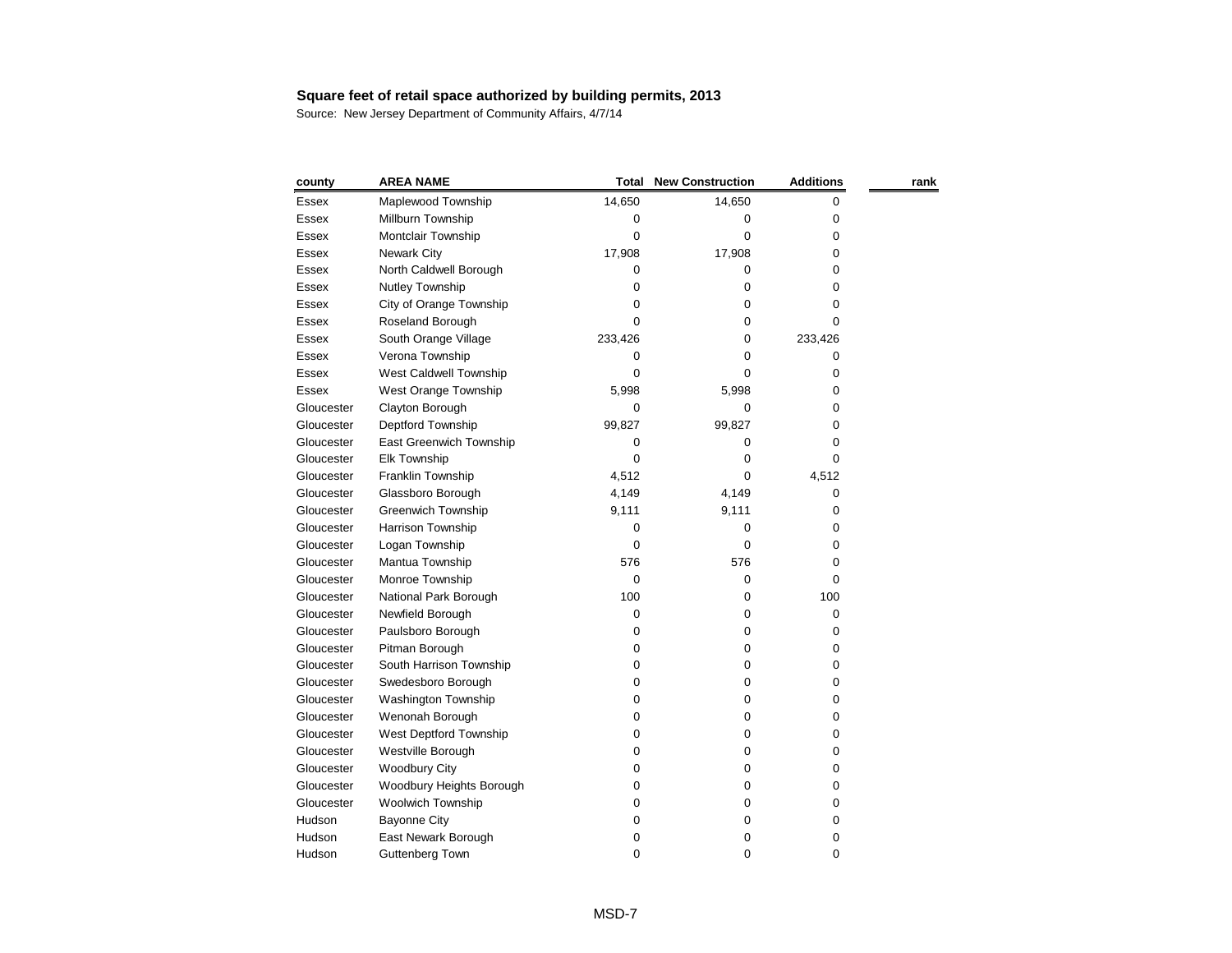| county       | <b>AREA NAME</b>           | <b>Total</b> | <b>New Construction</b> | <b>Additions</b> | rank |
|--------------|----------------------------|--------------|-------------------------|------------------|------|
| Essex        | Maplewood Township         | 14,650       | 14,650                  | 0                |      |
| <b>Essex</b> | Millburn Township          | 0            | 0                       | 0                |      |
| Essex        | Montclair Township         | 0            | 0                       | 0                |      |
| Essex        | <b>Newark City</b>         | 17,908       | 17,908                  | 0                |      |
| <b>Essex</b> | North Caldwell Borough     | 0            | 0                       | 0                |      |
| <b>Essex</b> | Nutley Township            | 0            | 0                       | 0                |      |
| Essex        | City of Orange Township    | 0            | 0                       | 0                |      |
| <b>Essex</b> | Roseland Borough           | 0            | 0                       | 0                |      |
| <b>Essex</b> | South Orange Village       | 233,426      | 0                       | 233,426          |      |
| <b>Essex</b> | Verona Township            | 0            | 0                       | 0                |      |
| <b>Essex</b> | West Caldwell Township     | 0            | 0                       | 0                |      |
| <b>Essex</b> | West Orange Township       | 5,998        | 5,998                   | 0                |      |
| Gloucester   | Clayton Borough            | 0            | 0                       | 0                |      |
| Gloucester   | Deptford Township          | 99,827       | 99,827                  | 0                |      |
| Gloucester   | East Greenwich Township    | 0            | 0                       | 0                |      |
| Gloucester   | <b>Elk Township</b>        | 0            | 0                       | 0                |      |
| Gloucester   | Franklin Township          | 4,512        | 0                       | 4,512            |      |
| Gloucester   | Glassboro Borough          | 4,149        | 4,149                   | 0                |      |
| Gloucester   | <b>Greenwich Township</b>  | 9,111        | 9,111                   | 0                |      |
| Gloucester   | Harrison Township          | 0            | 0                       | 0                |      |
| Gloucester   | Logan Township             | 0            | 0                       | 0                |      |
| Gloucester   | Mantua Township            | 576          | 576                     | 0                |      |
| Gloucester   | Monroe Township            | 0            | 0                       | 0                |      |
| Gloucester   | National Park Borough      | 100          | 0                       | 100              |      |
| Gloucester   | Newfield Borough           | 0            | 0                       | 0                |      |
| Gloucester   | Paulsboro Borough          | 0            | 0                       | 0                |      |
| Gloucester   | Pitman Borough             | 0            | 0                       | 0                |      |
| Gloucester   | South Harrison Township    | 0            | 0                       | 0                |      |
| Gloucester   | Swedesboro Borough         | 0            | 0                       | 0                |      |
| Gloucester   | <b>Washington Township</b> | 0            | 0                       | 0                |      |
| Gloucester   | Wenonah Borough            | 0            | 0                       | 0                |      |
| Gloucester   | West Deptford Township     | 0            | 0                       | 0                |      |
| Gloucester   | Westville Borough          | 0            | 0                       | 0                |      |
| Gloucester   | <b>Woodbury City</b>       | 0            | 0                       | 0                |      |
| Gloucester   | Woodbury Heights Borough   | 0            | 0                       | 0                |      |
| Gloucester   | Woolwich Township          | 0            | 0                       | 0                |      |
| Hudson       | <b>Bayonne City</b>        | 0            | 0                       | 0                |      |
| Hudson       | East Newark Borough        | 0            | 0                       | 0                |      |
| Hudson       | Guttenberg Town            | 0            | 0                       | 0                |      |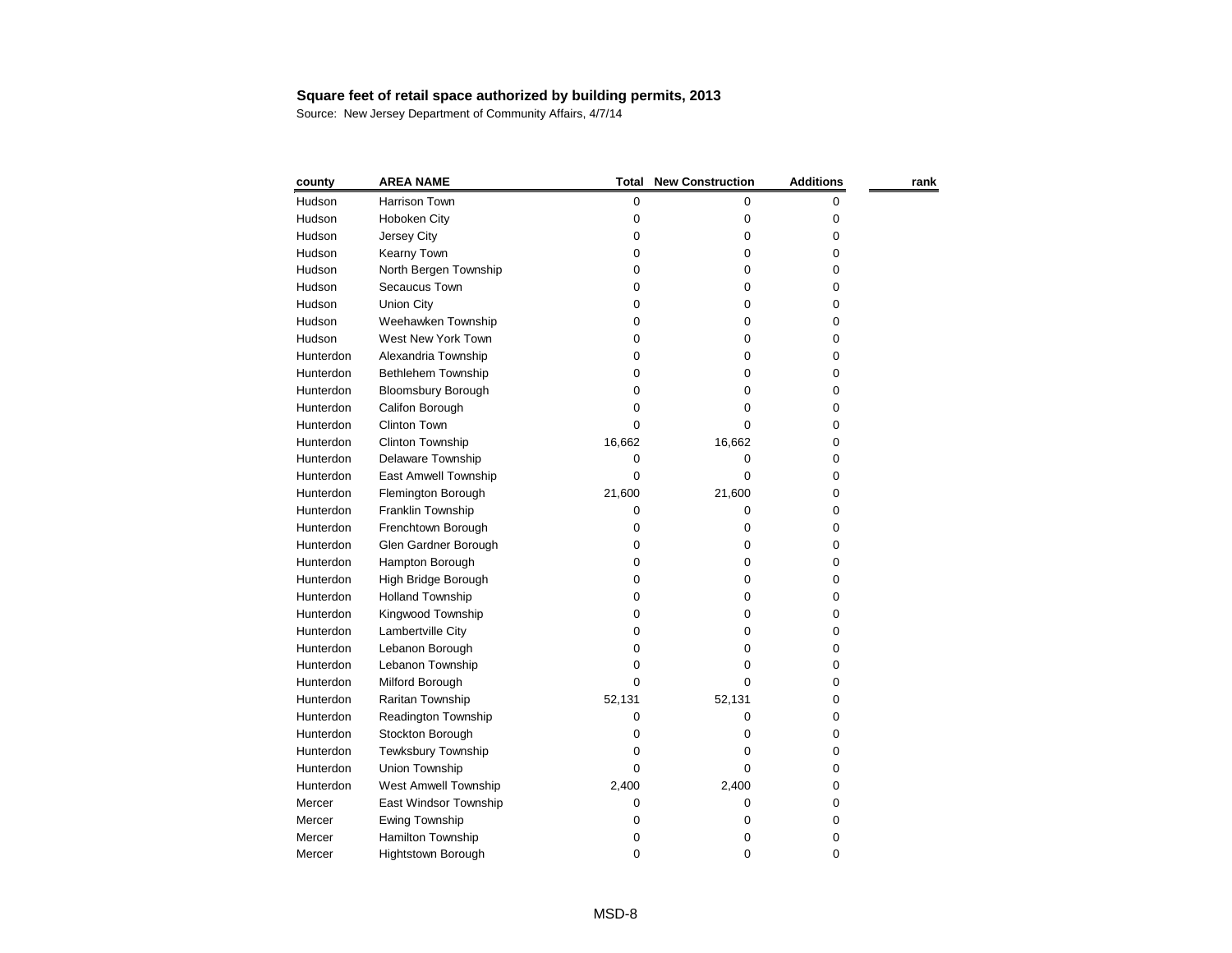| county    | <b>AREA NAME</b>            | Total  | <b>New Construction</b> | <b>Additions</b> | rank |
|-----------|-----------------------------|--------|-------------------------|------------------|------|
| Hudson    | Harrison Town               | 0      | 0                       | 0                |      |
| Hudson    | Hoboken City                | 0      | 0                       | 0                |      |
| Hudson    | Jersey City                 | 0      | 0                       | 0                |      |
| Hudson    | Kearny Town                 | 0      | 0                       | 0                |      |
| Hudson    | North Bergen Township       | 0      | 0                       | 0                |      |
| Hudson    | Secaucus Town               | 0      | 0                       | 0                |      |
| Hudson    | <b>Union City</b>           | 0      | 0                       | 0                |      |
| Hudson    | Weehawken Township          | 0      | 0                       | 0                |      |
| Hudson    | West New York Town          | 0      | 0                       | 0                |      |
| Hunterdon | Alexandria Township         | 0      | 0                       | 0                |      |
| Hunterdon | Bethlehem Township          | 0      | 0                       | 0                |      |
| Hunterdon | <b>Bloomsbury Borough</b>   | 0      | 0                       | 0                |      |
| Hunterdon | Califon Borough             | 0      | 0                       | 0                |      |
| Hunterdon | <b>Clinton Town</b>         | 0      | Ω                       | 0                |      |
| Hunterdon | <b>Clinton Township</b>     | 16,662 | 16,662                  | 0                |      |
| Hunterdon | Delaware Township           | 0      | 0                       | 0                |      |
| Hunterdon | East Amwell Township        | 0      | 0                       | 0                |      |
| Hunterdon | Flemington Borough          | 21,600 | 21,600                  | 0                |      |
| Hunterdon | Franklin Township           | 0      | 0                       | 0                |      |
| Hunterdon | Frenchtown Borough          | 0      | 0                       | 0                |      |
| Hunterdon | Glen Gardner Borough        | 0      | 0                       | 0                |      |
| Hunterdon | Hampton Borough             | 0      | 0                       | 0                |      |
| Hunterdon | High Bridge Borough         | 0      | 0                       | 0                |      |
| Hunterdon | <b>Holland Township</b>     | 0      | 0                       | 0                |      |
| Hunterdon | Kingwood Township           | 0      | 0                       | 0                |      |
| Hunterdon | Lambertville City           | 0      | 0                       | 0                |      |
| Hunterdon | Lebanon Borough             | 0      | 0                       | 0                |      |
| Hunterdon | Lebanon Township            | 0      | Ω                       | 0                |      |
| Hunterdon | Milford Borough             | 0      | 0                       | 0                |      |
| Hunterdon | Raritan Township            | 52,131 | 52,131                  | 0                |      |
| Hunterdon | Readington Township         | 0      | 0                       | 0                |      |
| Hunterdon | Stockton Borough            | 0      | 0                       | 0                |      |
| Hunterdon | <b>Tewksbury Township</b>   | 0      | 0                       | 0                |      |
| Hunterdon | Union Township              | 0      | 0                       | 0                |      |
| Hunterdon | <b>West Amwell Township</b> | 2,400  | 2,400                   | 0                |      |
| Mercer    | East Windsor Township       | 0      | 0                       | 0                |      |
| Mercer    | <b>Ewing Township</b>       | 0      | 0                       | 0                |      |
| Mercer    | Hamilton Township           | 0      | 0                       | 0                |      |
| Mercer    | Hightstown Borough          | 0      | 0                       | 0                |      |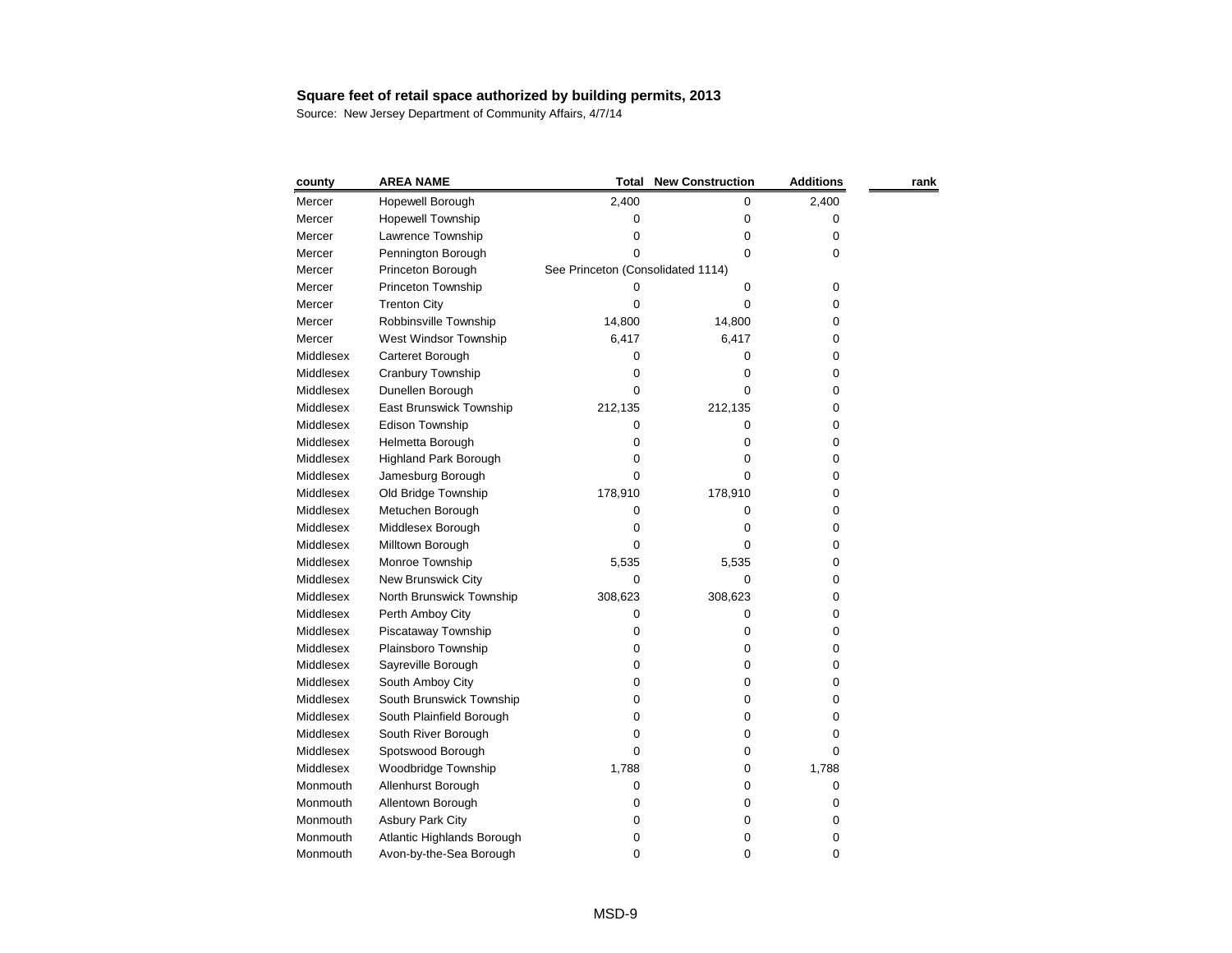| county    | <b>AREA NAME</b>             | Total                             | <b>New Construction</b> | <b>Additions</b> | rank |
|-----------|------------------------------|-----------------------------------|-------------------------|------------------|------|
| Mercer    | Hopewell Borough             | 2,400                             | 0                       | 2,400            |      |
| Mercer    | Hopewell Township            | 0                                 | 0                       | 0                |      |
| Mercer    | Lawrence Township            | 0                                 | 0                       | 0                |      |
| Mercer    | Pennington Borough           | 0                                 | 0                       | 0                |      |
| Mercer    | Princeton Borough            | See Princeton (Consolidated 1114) |                         |                  |      |
| Mercer    | Princeton Township           | 0                                 | 0                       | 0                |      |
| Mercer    | <b>Trenton City</b>          | 0                                 | 0                       | 0                |      |
| Mercer    | Robbinsville Township        | 14,800                            | 14,800                  | 0                |      |
| Mercer    | West Windsor Township        | 6,417                             | 6,417                   | 0                |      |
| Middlesex | Carteret Borough             | 0                                 | Ω                       | 0                |      |
| Middlesex | Cranbury Township            | 0                                 | 0                       | 0                |      |
| Middlesex | Dunellen Borough             | 0                                 | 0                       | 0                |      |
| Middlesex | East Brunswick Township      | 212,135                           | 212,135                 | 0                |      |
| Middlesex | Edison Township              | 0                                 | 0                       | 0                |      |
| Middlesex | Helmetta Borough             | 0                                 | 0                       | 0                |      |
| Middlesex | <b>Highland Park Borough</b> | 0                                 | Ω                       | 0                |      |
| Middlesex | Jamesburg Borough            | 0                                 | 0                       | 0                |      |
| Middlesex | Old Bridge Township          | 178,910                           | 178,910                 | 0                |      |
| Middlesex | Metuchen Borough             | 0                                 | 0                       | 0                |      |
| Middlesex | Middlesex Borough            | 0                                 | 0                       | 0                |      |
| Middlesex | Milltown Borough             | 0                                 | Ω                       | 0                |      |
| Middlesex | Monroe Township              | 5,535                             | 5,535                   | 0                |      |
| Middlesex | New Brunswick City           | 0                                 | 0                       | 0                |      |
| Middlesex | North Brunswick Township     | 308,623                           | 308,623                 | 0                |      |
| Middlesex | Perth Amboy City             | 0                                 | 0                       | 0                |      |
| Middlesex | Piscataway Township          | 0                                 | 0                       | 0                |      |
| Middlesex | Plainsboro Township          | 0                                 | 0                       | 0                |      |
| Middlesex | Sayreville Borough           | 0                                 | 0                       | 0                |      |
| Middlesex | South Amboy City             | 0                                 | 0                       | 0                |      |
| Middlesex | South Brunswick Township     | 0                                 | 0                       | 0                |      |
| Middlesex | South Plainfield Borough     | 0                                 | 0                       | 0                |      |
| Middlesex | South River Borough          | 0                                 | 0                       | 0                |      |
| Middlesex | Spotswood Borough            | 0                                 | 0                       | 0                |      |
| Middlesex | Woodbridge Township          | 1,788                             | 0                       | 1,788            |      |
| Monmouth  | Allenhurst Borough           | 0                                 | 0                       | 0                |      |
| Monmouth  | Allentown Borough            | 0                                 | 0                       | 0                |      |
| Monmouth  | <b>Asbury Park City</b>      | 0                                 | 0                       | 0                |      |
| Monmouth  | Atlantic Highlands Borough   | 0                                 | 0                       | 0                |      |
| Monmouth  | Avon-by-the-Sea Borough      | 0                                 | 0                       | 0                |      |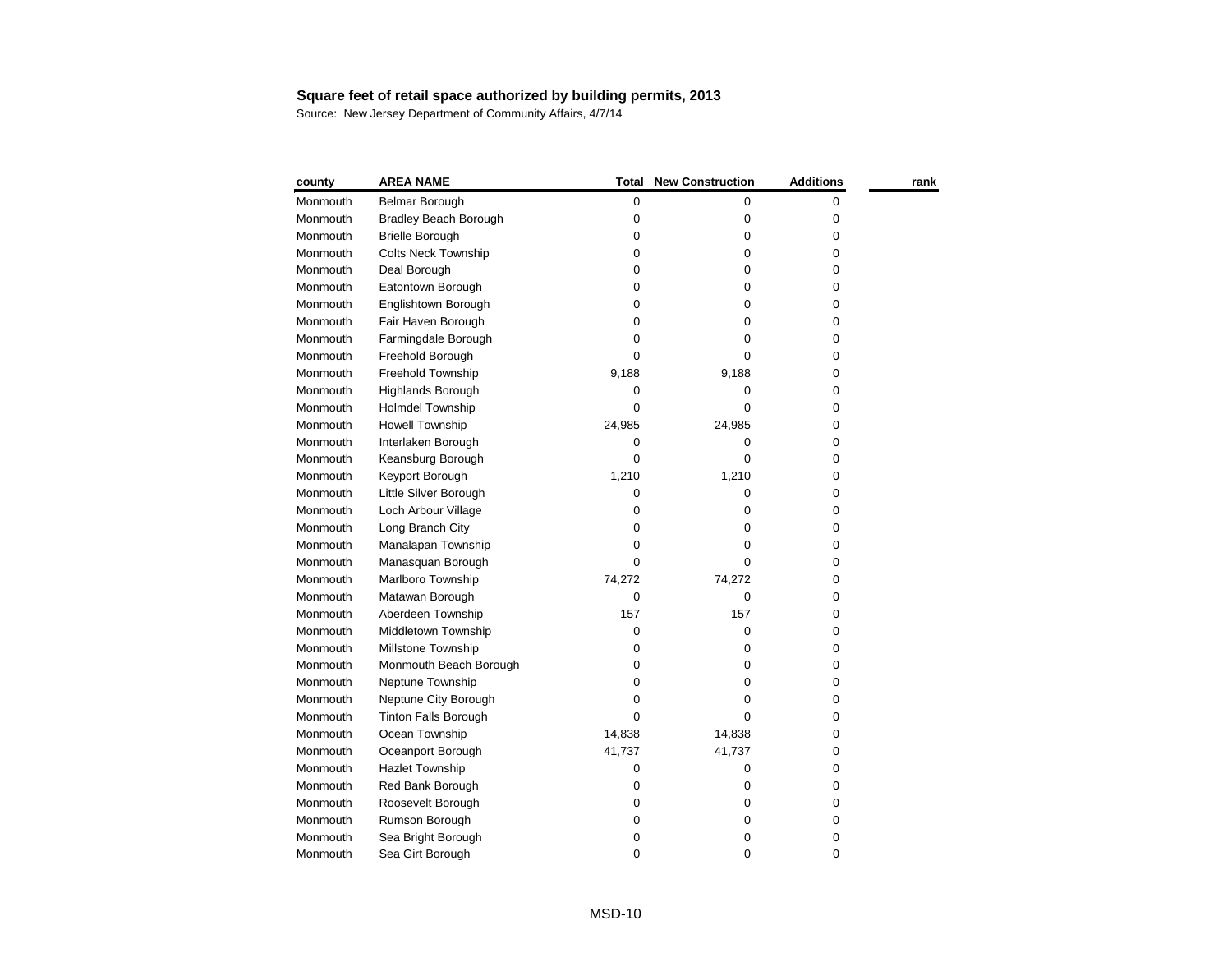| county   | <b>AREA NAME</b>             | Total  | <b>New Construction</b> | <b>Additions</b> | rank |
|----------|------------------------------|--------|-------------------------|------------------|------|
| Monmouth | Belmar Borough               | 0      | 0                       | 0                |      |
| Monmouth | <b>Bradley Beach Borough</b> | 0      | 0                       | 0                |      |
| Monmouth | <b>Brielle Borough</b>       | 0      | 0                       | 0                |      |
| Monmouth | <b>Colts Neck Township</b>   | 0      | 0                       | 0                |      |
| Monmouth | Deal Borough                 | 0      | 0                       | 0                |      |
| Monmouth | Eatontown Borough            | 0      | 0                       | 0                |      |
| Monmouth | Englishtown Borough          | 0      | 0                       | 0                |      |
| Monmouth | Fair Haven Borough           | 0      | 0                       | 0                |      |
| Monmouth | Farmingdale Borough          | 0      | Ω                       | 0                |      |
| Monmouth | Freehold Borough             | 0      | O                       | 0                |      |
| Monmouth | Freehold Township            | 9,188  | 9,188                   | 0                |      |
| Monmouth | Highlands Borough            | 0      | 0                       | 0                |      |
| Monmouth | <b>Holmdel Township</b>      | 0      | 0                       | 0                |      |
| Monmouth | <b>Howell Township</b>       | 24,985 | 24,985                  | 0                |      |
| Monmouth | Interlaken Borough           | 0      | 0                       | 0                |      |
| Monmouth | Keansburg Borough            | 0      | 0                       | 0                |      |
| Monmouth | Keyport Borough              | 1,210  | 1,210                   | 0                |      |
| Monmouth | Little Silver Borough        | 0      | 0                       | 0                |      |
| Monmouth | Loch Arbour Village          | 0      | 0                       | 0                |      |
| Monmouth | Long Branch City             | 0      | 0                       | 0                |      |
| Monmouth | Manalapan Township           | 0      | 0                       | 0                |      |
| Monmouth | Manasquan Borough            | 0      | 0                       | 0                |      |
| Monmouth | Marlboro Township            | 74,272 | 74,272                  | 0                |      |
| Monmouth | Matawan Borough              | 0      | 0                       | 0                |      |
| Monmouth | Aberdeen Township            | 157    | 157                     | 0                |      |
| Monmouth | Middletown Township          | 0      | 0                       | 0                |      |
| Monmouth | Millstone Township           | 0      | 0                       | 0                |      |
| Monmouth | Monmouth Beach Borough       | 0      | 0                       | 0                |      |
| Monmouth | Neptune Township             | 0      | 0                       | 0                |      |
| Monmouth | Neptune City Borough         | 0      | 0                       | 0                |      |
| Monmouth | <b>Tinton Falls Borough</b>  | 0      | 0                       | 0                |      |
| Monmouth | Ocean Township               | 14,838 | 14,838                  | 0                |      |
| Monmouth | Oceanport Borough            | 41,737 | 41,737                  | 0                |      |
| Monmouth | <b>Hazlet Township</b>       | 0      | 0                       | 0                |      |
| Monmouth | Red Bank Borough             | 0      | 0                       | 0                |      |
| Monmouth | Roosevelt Borough            | 0      | Ω                       | 0                |      |
| Monmouth | Rumson Borough               | 0      | 0                       | 0                |      |
| Monmouth | Sea Bright Borough           | 0      | 0                       | 0                |      |
| Monmouth | Sea Girt Borough             | 0      | 0                       | 0                |      |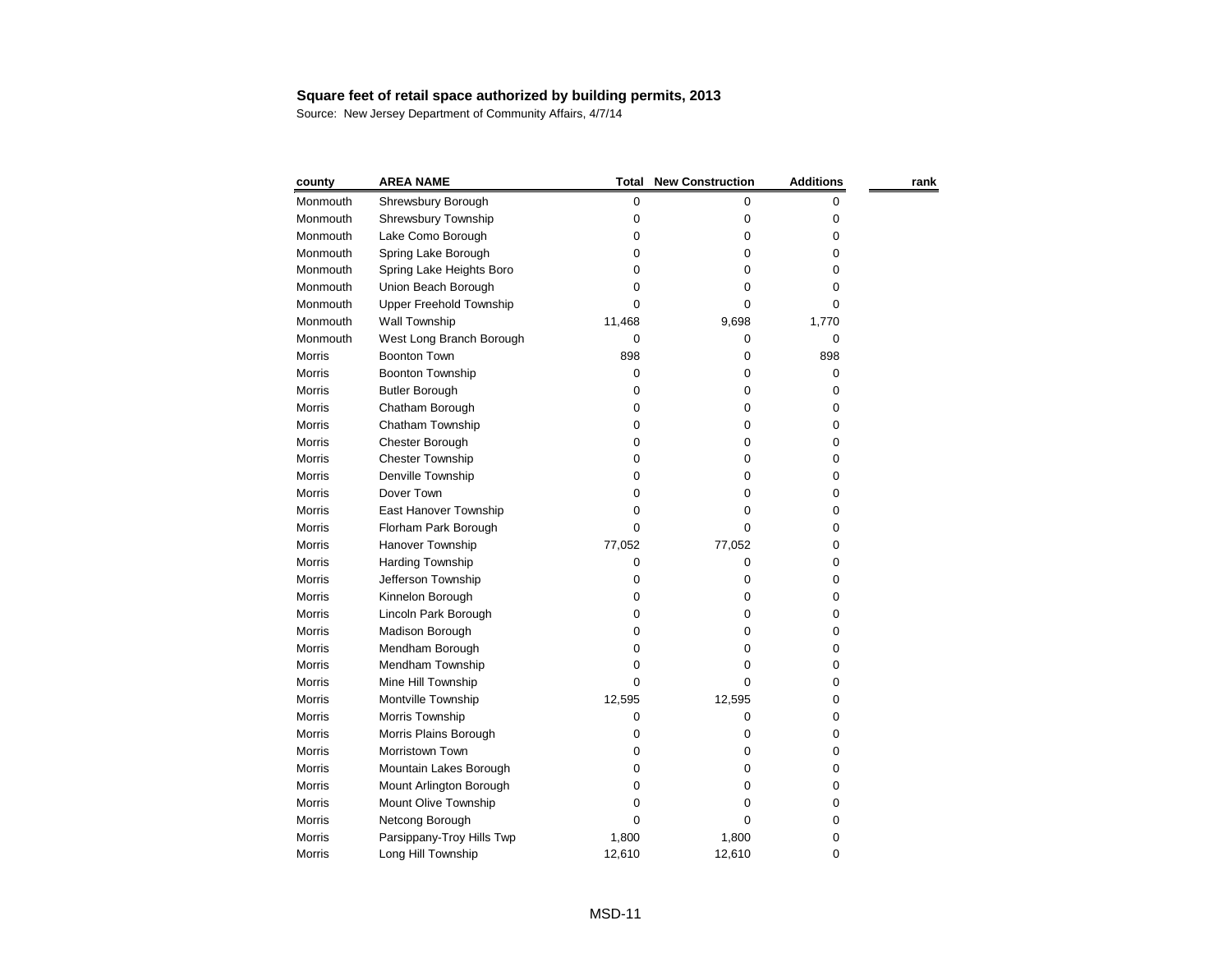| county        | <b>AREA NAME</b>               | Total  | <b>New Construction</b> | <b>Additions</b> | rank |
|---------------|--------------------------------|--------|-------------------------|------------------|------|
| Monmouth      | Shrewsbury Borough             | 0      | 0                       | 0                |      |
| Monmouth      | <b>Shrewsbury Township</b>     | 0      | 0                       | 0                |      |
| Monmouth      | Lake Como Borough              | 0      | 0                       | 0                |      |
| Monmouth      | Spring Lake Borough            | 0      | 0                       | 0                |      |
| Monmouth      | Spring Lake Heights Boro       | 0      | 0                       | 0                |      |
| Monmouth      | Union Beach Borough            | 0      | 0                       | 0                |      |
| Monmouth      | <b>Upper Freehold Township</b> | 0      | 0                       | 0                |      |
| Monmouth      | Wall Township                  | 11,468 | 9,698                   | 1,770            |      |
| Monmouth      | West Long Branch Borough       | 0      | 0                       | 0                |      |
| Morris        | <b>Boonton Town</b>            | 898    | 0                       | 898              |      |
| <b>Morris</b> | <b>Boonton Township</b>        | 0      | 0                       | 0                |      |
| <b>Morris</b> | <b>Butler Borough</b>          | 0      | 0                       | 0                |      |
| <b>Morris</b> | Chatham Borough                | 0      | 0                       | 0                |      |
| Morris        | Chatham Township               | 0      | 0                       | 0                |      |
| <b>Morris</b> | Chester Borough                | 0      | 0                       | 0                |      |
| <b>Morris</b> | <b>Chester Township</b>        | 0      | 0                       | 0                |      |
| Morris        | Denville Township              | 0      | 0                       | 0                |      |
| <b>Morris</b> | Dover Town                     | 0      | 0                       | 0                |      |
| <b>Morris</b> | East Hanover Township          | 0      | 0                       | 0                |      |
| <b>Morris</b> | Florham Park Borough           | 0      | 0                       | 0                |      |
| <b>Morris</b> | Hanover Township               | 77,052 | 77,052                  | 0                |      |
| Morris        | <b>Harding Township</b>        | 0      | 0                       | 0                |      |
| <b>Morris</b> | Jefferson Township             | 0      | 0                       | 0                |      |
| <b>Morris</b> | Kinnelon Borough               | 0      | 0                       | 0                |      |
| <b>Morris</b> | Lincoln Park Borough           | 0      | 0                       | 0                |      |
| Morris        | Madison Borough                | 0      | 0                       | 0                |      |
| <b>Morris</b> | Mendham Borough                | 0      | 0                       | 0                |      |
| <b>Morris</b> | Mendham Township               | 0      | Ω                       | 0                |      |
| Morris        | Mine Hill Township             | 0      | 0                       | 0                |      |
| Morris        | Montville Township             | 12,595 | 12,595                  | 0                |      |
| <b>Morris</b> | Morris Township                | 0      | 0                       | 0                |      |
| Morris        | Morris Plains Borough          | 0      | 0                       | 0                |      |
| Morris        | Morristown Town                | 0      | 0                       | 0                |      |
| Morris        | Mountain Lakes Borough         | 0      | 0                       | 0                |      |
| <b>Morris</b> | Mount Arlington Borough        | O      | 0                       | 0                |      |
| Morris        | Mount Olive Township           | 0      | Ω                       | 0                |      |
| Morris        | Netcong Borough                | 0      | 0                       | 0                |      |
| <b>Morris</b> | Parsippany-Troy Hills Twp      | 1,800  | 1,800                   | 0                |      |
| Morris        | Long Hill Township             | 12,610 | 12,610                  | 0                |      |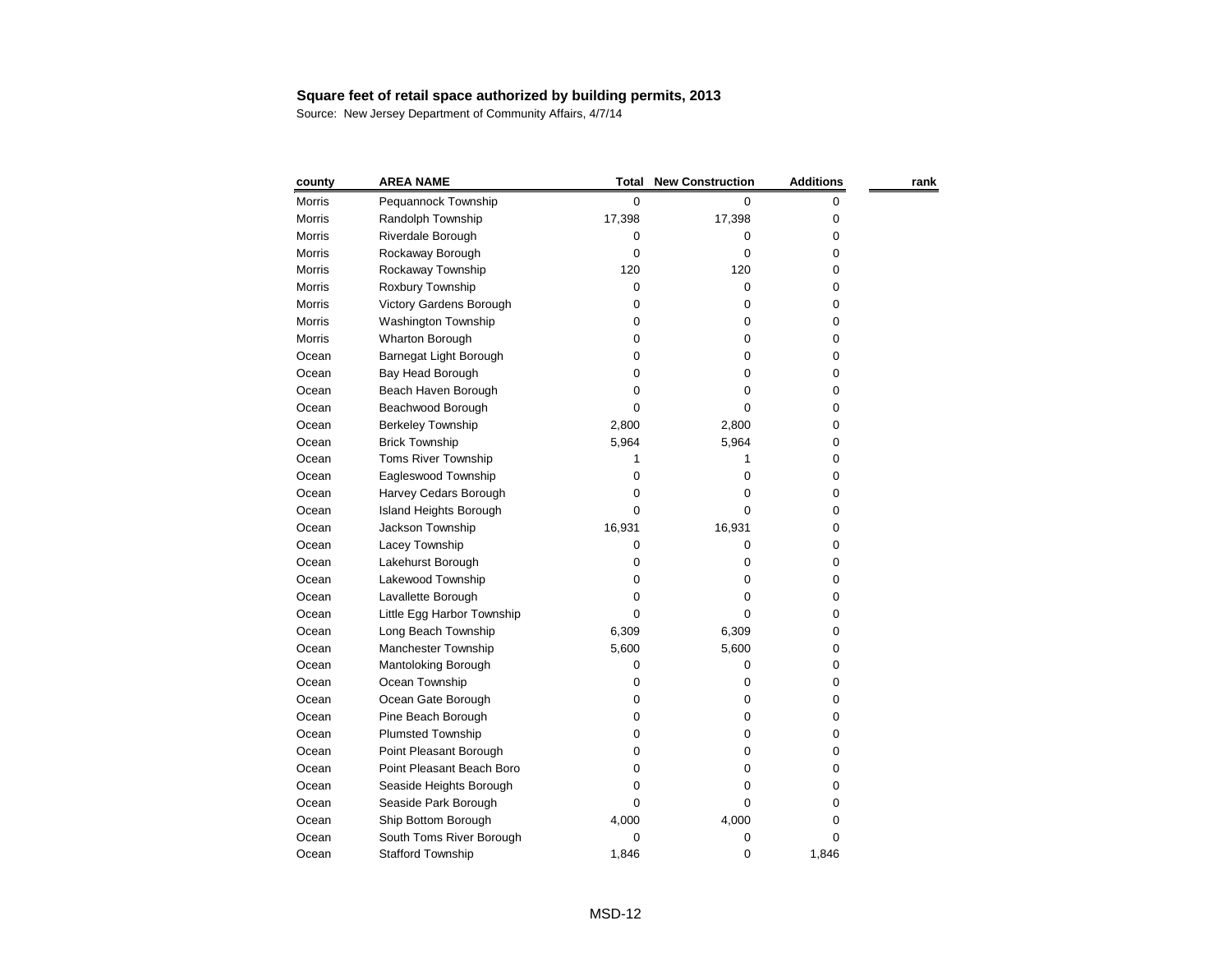| county        | <b>AREA NAME</b>           | <b>Total</b> | <b>New Construction</b> | <b>Additions</b> | rank |
|---------------|----------------------------|--------------|-------------------------|------------------|------|
| <b>Morris</b> | Pequannock Township        | $\mathbf 0$  | 0                       | 0                |      |
| <b>Morris</b> | Randolph Township          | 17,398       | 17,398                  | 0                |      |
| <b>Morris</b> | Riverdale Borough          | 0            | 0                       | 0                |      |
| <b>Morris</b> | Rockaway Borough           | 0            | 0                       | 0                |      |
| Morris        | Rockaway Township          | 120          | 120                     | 0                |      |
| <b>Morris</b> | Roxbury Township           | 0            | 0                       | 0                |      |
| <b>Morris</b> | Victory Gardens Borough    | 0            | 0                       | 0                |      |
| <b>Morris</b> | Washington Township        | 0            | 0                       | 0                |      |
| <b>Morris</b> | Wharton Borough            | 0            | 0                       | 0                |      |
| Ocean         | Barnegat Light Borough     | 0            | 0                       | 0                |      |
| Ocean         | Bay Head Borough           | 0            | 0                       | 0                |      |
| Ocean         | Beach Haven Borough        | 0            | 0                       | 0                |      |
| Ocean         | Beachwood Borough          | 0            | 0                       | 0                |      |
| Ocean         | <b>Berkeley Township</b>   | 2,800        | 2,800                   | 0                |      |
| Ocean         | <b>Brick Township</b>      | 5,964        | 5,964                   | 0                |      |
| Ocean         | <b>Toms River Township</b> | 1            |                         | 0                |      |
| Ocean         | Eagleswood Township        | 0            | 0                       | 0                |      |
| Ocean         | Harvey Cedars Borough      | 0            | 0                       | 0                |      |
| Ocean         | Island Heights Borough     | 0            | 0                       | 0                |      |
| Ocean         | Jackson Township           | 16,931       | 16,931                  | 0                |      |
| Ocean         | Lacey Township             | 0            | 0                       | 0                |      |
| Ocean         | Lakehurst Borough          | 0            | 0                       | 0                |      |
| Ocean         | Lakewood Township          | 0            | 0                       | 0                |      |
| Ocean         | Lavallette Borough         | 0            | 0                       | 0                |      |
| Ocean         | Little Egg Harbor Township | 0            | 0                       | 0                |      |
| Ocean         | Long Beach Township        | 6,309        | 6,309                   | 0                |      |
| Ocean         | Manchester Township        | 5,600        | 5,600                   | 0                |      |
| Ocean         | Mantoloking Borough        | 0            | O                       | 0                |      |
| Ocean         | Ocean Township             | 0            | 0                       | 0                |      |
| Ocean         | Ocean Gate Borough         | 0            | 0                       | 0                |      |
| Ocean         | Pine Beach Borough         | 0            | 0                       | 0                |      |
| Ocean         | <b>Plumsted Township</b>   | 0            | 0                       | 0                |      |
| Ocean         | Point Pleasant Borough     | 0            | 0                       | 0                |      |
| Ocean         | Point Pleasant Beach Boro  | 0            | 0                       | 0                |      |
| Ocean         | Seaside Heights Borough    | 0            | 0                       | 0                |      |
| Ocean         | Seaside Park Borough       | 0            | 0                       | 0                |      |
| Ocean         | Ship Bottom Borough        | 4,000        | 4,000                   | 0                |      |
| Ocean         | South Toms River Borough   | 0            | 0                       | 0                |      |
| Ocean         | <b>Stafford Township</b>   | 1,846        | 0                       | 1,846            |      |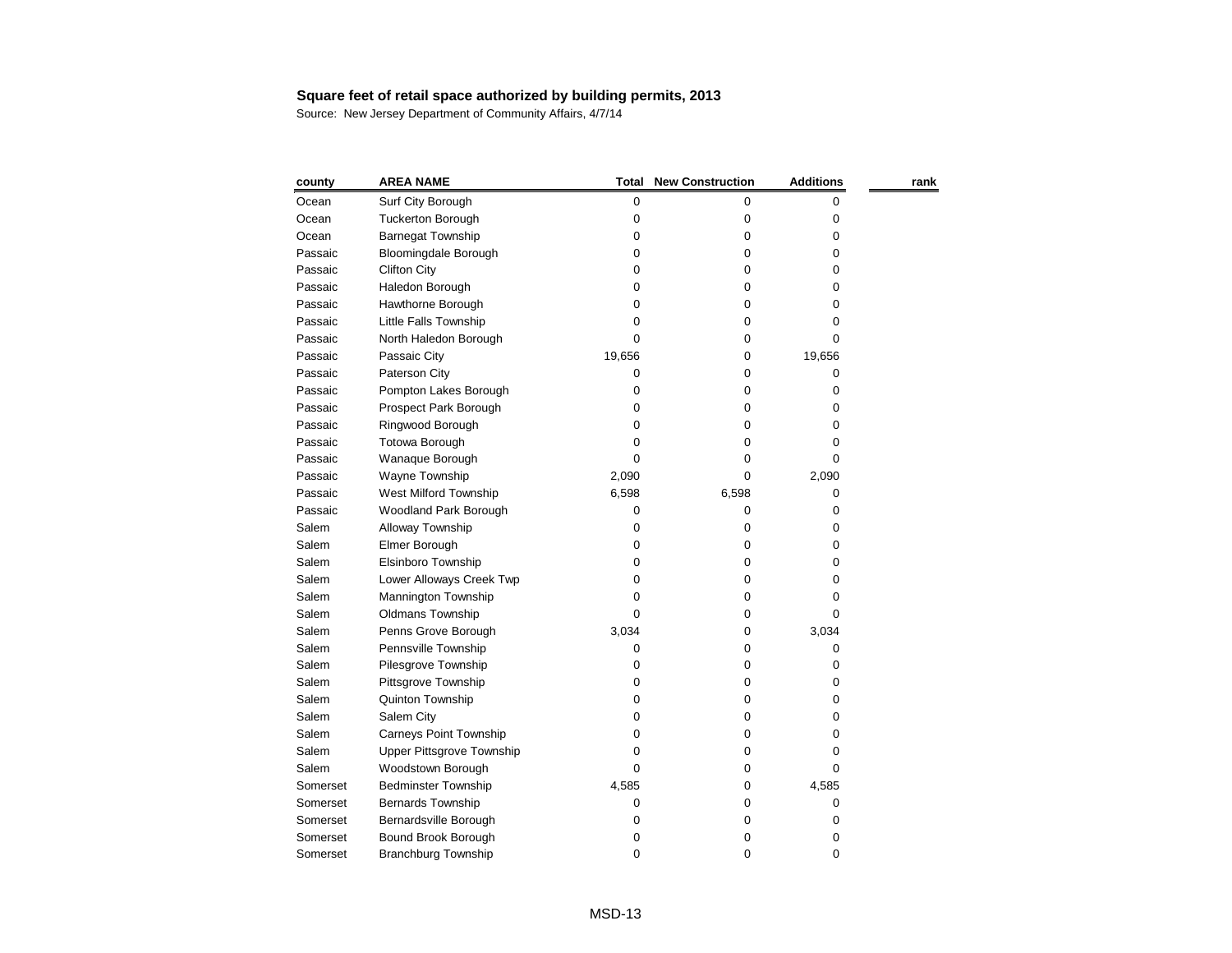| county   | <b>AREA NAME</b>                 | <b>Total</b> | <b>New Construction</b> | <b>Additions</b> | rank |
|----------|----------------------------------|--------------|-------------------------|------------------|------|
| Ocean    | Surf City Borough                | 0            | 0                       | 0                |      |
| Ocean    | <b>Tuckerton Borough</b>         | 0            | 0                       | 0                |      |
| Ocean    | <b>Barnegat Township</b>         | 0            | 0                       | 0                |      |
| Passaic  | <b>Bloomingdale Borough</b>      | 0            | 0                       | 0                |      |
| Passaic  | <b>Clifton City</b>              | 0            | 0                       | 0                |      |
| Passaic  | Haledon Borough                  | 0            | 0                       | 0                |      |
| Passaic  | Hawthorne Borough                | 0            | 0                       | 0                |      |
| Passaic  | Little Falls Township            | 0            | 0                       | 0                |      |
| Passaic  | North Haledon Borough            | 0            | 0                       | 0                |      |
| Passaic  | Passaic City                     | 19,656       | 0                       | 19,656           |      |
| Passaic  | Paterson City                    | 0            | 0                       | 0                |      |
| Passaic  | Pompton Lakes Borough            | 0            | 0                       | 0                |      |
| Passaic  | Prospect Park Borough            | 0            | 0                       | 0                |      |
| Passaic  | Ringwood Borough                 | 0            | 0                       | 0                |      |
| Passaic  | Totowa Borough                   | 0            | 0                       | 0                |      |
| Passaic  | Wanaque Borough                  | 0            | 0                       | 0                |      |
| Passaic  | Wayne Township                   | 2,090        | 0                       | 2,090            |      |
| Passaic  | West Milford Township            | 6,598        | 6,598                   | 0                |      |
| Passaic  | <b>Woodland Park Borough</b>     | 0            | 0                       | 0                |      |
| Salem    | Alloway Township                 | 0            | 0                       | 0                |      |
| Salem    | Elmer Borough                    | 0            | 0                       | 0                |      |
| Salem    | Elsinboro Township               | 0            | 0                       | 0                |      |
| Salem    | Lower Alloways Creek Twp         | 0            | 0                       | 0                |      |
| Salem    | Mannington Township              | 0            | 0                       | 0                |      |
| Salem    | Oldmans Township                 | 0            | 0                       | 0                |      |
| Salem    | Penns Grove Borough              | 3,034        | 0                       | 3,034            |      |
| Salem    | Pennsville Township              | 0            | 0                       | 0                |      |
| Salem    | Pilesgrove Township              | 0            | 0                       | 0                |      |
| Salem    | Pittsgrove Township              | 0            | 0                       | 0                |      |
| Salem    | <b>Quinton Township</b>          | 0            | 0                       | 0                |      |
| Salem    | Salem City                       | 0            | 0                       | 0                |      |
| Salem    | <b>Carneys Point Township</b>    | 0            | 0                       | 0                |      |
| Salem    | <b>Upper Pittsgrove Township</b> | 0            | 0                       | 0                |      |
| Salem    | Woodstown Borough                | 0            | 0                       | 0                |      |
| Somerset | <b>Bedminster Township</b>       | 4,585        | 0                       | 4,585            |      |
| Somerset | <b>Bernards Township</b>         | 0            | 0                       | 0                |      |
| Somerset | Bernardsville Borough            | 0            | 0                       | 0                |      |
| Somerset | Bound Brook Borough              | 0            | 0                       | 0                |      |
| Somerset | <b>Branchburg Township</b>       | 0            | 0                       | 0                |      |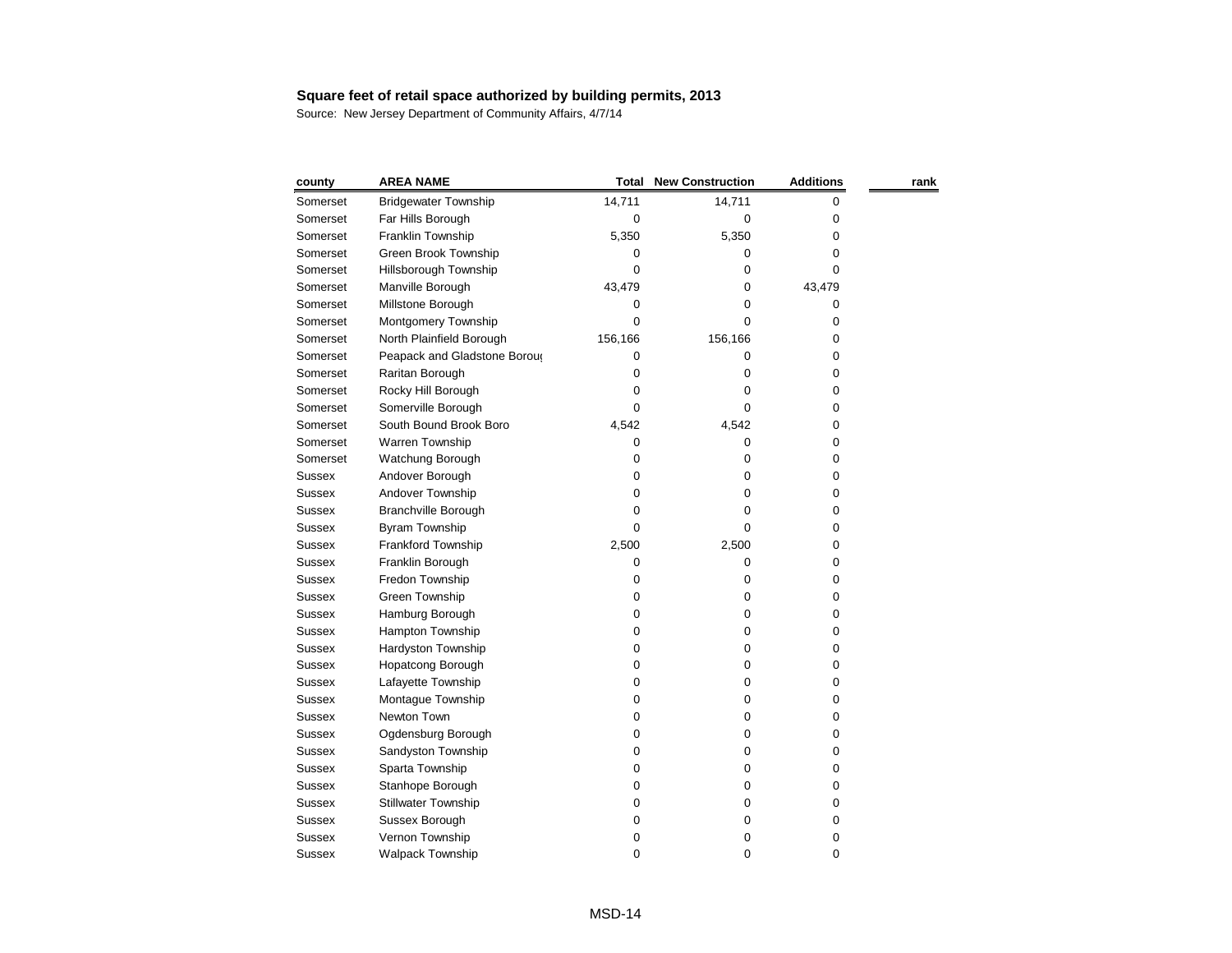| county        | <b>AREA NAME</b>             | <b>Total</b> | <b>New Construction</b> | <b>Additions</b> | rank |
|---------------|------------------------------|--------------|-------------------------|------------------|------|
| Somerset      | <b>Bridgewater Township</b>  | 14,711       | 14,711                  | 0                |      |
| Somerset      | Far Hills Borough            | 0            | 0                       | 0                |      |
| Somerset      | Franklin Township            | 5,350        | 5,350                   | 0                |      |
| Somerset      | Green Brook Township         | 0            | 0                       | 0                |      |
| Somerset      | Hillsborough Township        | 0            | 0                       | 0                |      |
| Somerset      | Manville Borough             | 43,479       | 0                       | 43,479           |      |
| Somerset      | Millstone Borough            | 0            | 0                       | 0                |      |
| Somerset      | Montgomery Township          | 0            | 0                       | 0                |      |
| Somerset      | North Plainfield Borough     | 156,166      | 156,166                 | 0                |      |
| Somerset      | Peapack and Gladstone Boroug | 0            | 0                       | 0                |      |
| Somerset      | Raritan Borough              | 0            | 0                       | 0                |      |
| Somerset      | Rocky Hill Borough           | 0            | 0                       | 0                |      |
| Somerset      | Somerville Borough           | 0            | 0                       | 0                |      |
| Somerset      | South Bound Brook Boro       | 4,542        | 4,542                   | 0                |      |
| Somerset      | Warren Township              | 0            | 0                       | 0                |      |
| Somerset      | Watchung Borough             | 0            | 0                       | 0                |      |
| <b>Sussex</b> | Andover Borough              | 0            | 0                       | 0                |      |
| <b>Sussex</b> | Andover Township             | 0            | 0                       | 0                |      |
| <b>Sussex</b> | <b>Branchville Borough</b>   | 0            | 0                       | 0                |      |
| <b>Sussex</b> | Byram Township               | 0            | 0                       | 0                |      |
| <b>Sussex</b> | Frankford Township           | 2,500        | 2,500                   | 0                |      |
| <b>Sussex</b> | Franklin Borough             | 0            | 0                       | 0                |      |
| Sussex        | Fredon Township              | 0            | 0                       | 0                |      |
| <b>Sussex</b> | Green Township               | 0            | 0                       | 0                |      |
| <b>Sussex</b> | Hamburg Borough              | 0            | 0                       | 0                |      |
| <b>Sussex</b> | Hampton Township             | 0            | 0                       | 0                |      |
| <b>Sussex</b> | Hardyston Township           | 0            | 0                       | 0                |      |
| <b>Sussex</b> | <b>Hopatcong Borough</b>     | 0            | 0                       | 0                |      |
| <b>Sussex</b> | Lafayette Township           | 0            | 0                       | 0                |      |
| <b>Sussex</b> | Montague Township            | 0            | 0                       | 0                |      |
| <b>Sussex</b> | Newton Town                  | 0            | 0                       | 0                |      |
| <b>Sussex</b> | Ogdensburg Borough           | 0            | 0                       | 0                |      |
| <b>Sussex</b> | Sandyston Township           | 0            | 0                       | 0                |      |
| <b>Sussex</b> | Sparta Township              | 0            | 0                       | 0                |      |
| <b>Sussex</b> | Stanhope Borough             | 0            | 0                       | 0                |      |
| <b>Sussex</b> | <b>Stillwater Township</b>   | 0            | 0                       | 0                |      |
| <b>Sussex</b> | Sussex Borough               | 0            | 0                       | 0                |      |
| <b>Sussex</b> | Vernon Township              | 0            | 0                       | 0                |      |
| <b>Sussex</b> | <b>Walpack Township</b>      | 0            | 0                       | 0                |      |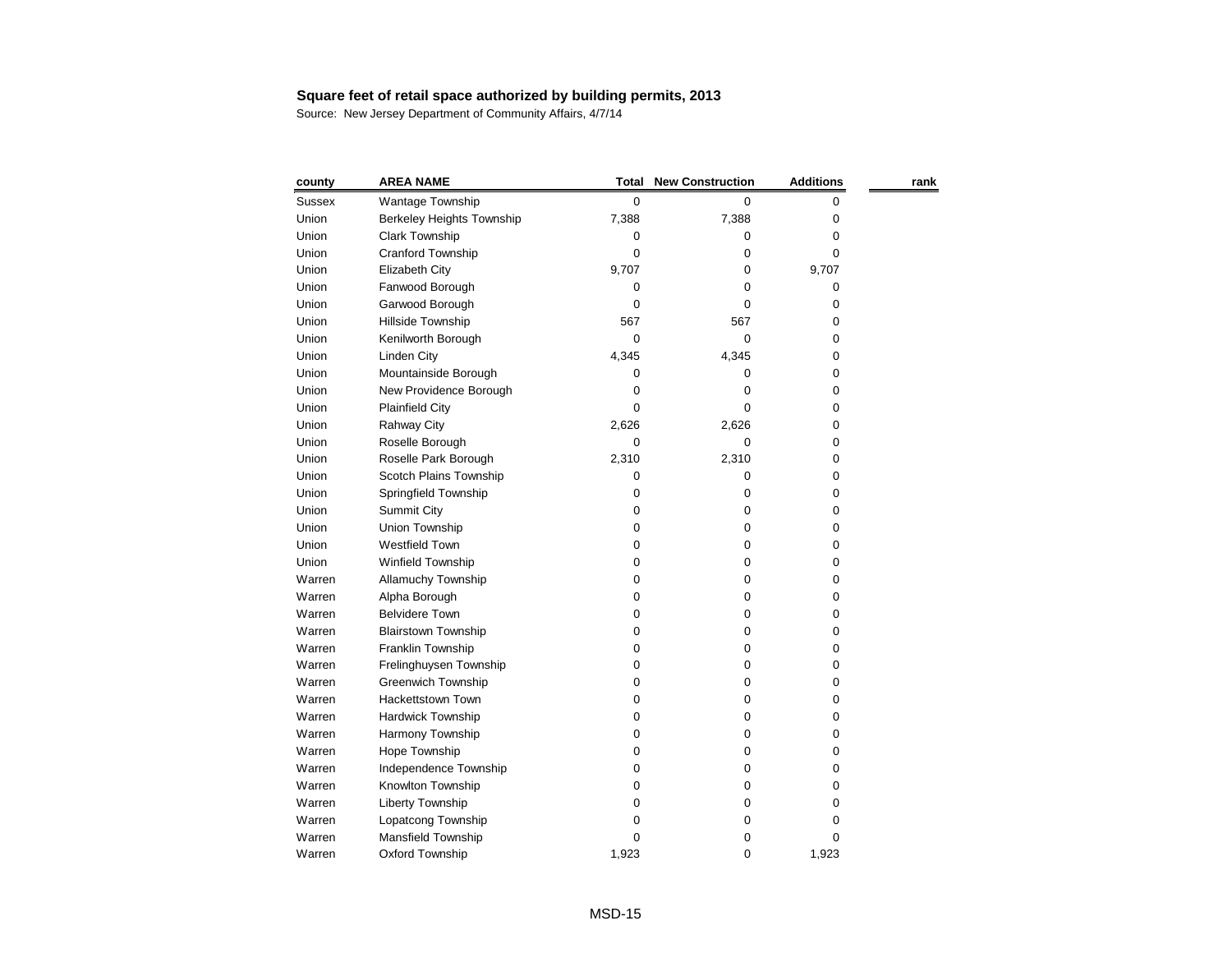| county        | <b>AREA NAME</b>                 | Total | <b>New Construction</b> | <b>Additions</b> | rank |
|---------------|----------------------------------|-------|-------------------------|------------------|------|
| <b>Sussex</b> | Wantage Township                 | 0     | 0                       | 0                |      |
| Union         | <b>Berkeley Heights Township</b> | 7,388 | 7,388                   | 0                |      |
| Union         | Clark Township                   | 0     | 0                       | 0                |      |
| Union         | Cranford Township                | 0     | 0                       | 0                |      |
| Union         | Elizabeth City                   | 9,707 | 0                       | 9,707            |      |
| Union         | Fanwood Borough                  | 0     | 0                       | 0                |      |
| Union         | Garwood Borough                  | 0     | 0                       | 0                |      |
| Union         | Hillside Township                | 567   | 567                     | 0                |      |
| Union         | Kenilworth Borough               | 0     | 0                       | 0                |      |
| Union         | Linden City                      | 4,345 | 4,345                   | 0                |      |
| Union         | Mountainside Borough             | 0     | 0                       | 0                |      |
| Union         | New Providence Borough           | 0     | 0                       | 0                |      |
| Union         | <b>Plainfield City</b>           | 0     | 0                       | 0                |      |
| Union         | <b>Rahway City</b>               | 2,626 | 2,626                   | 0                |      |
| Union         | Roselle Borough                  | 0     | 0                       | 0                |      |
| Union         | Roselle Park Borough             | 2,310 | 2,310                   | 0                |      |
| Union         | Scotch Plains Township           | 0     | 0                       | 0                |      |
| Union         | Springfield Township             | 0     | 0                       | 0                |      |
| Union         | <b>Summit City</b>               | 0     | 0                       | 0                |      |
| Union         | Union Township                   | 0     | 0                       | 0                |      |
| Union         | Westfield Town                   | 0     | 0                       | 0                |      |
| Union         | Winfield Township                | 0     | 0                       | 0                |      |
| Warren        | Allamuchy Township               | 0     | 0                       | 0                |      |
| Warren        | Alpha Borough                    | 0     | 0                       | 0                |      |
| Warren        | <b>Belvidere Town</b>            | 0     | 0                       | 0                |      |
| Warren        | <b>Blairstown Township</b>       | 0     | 0                       | 0                |      |
| Warren        | Franklin Township                | 0     | 0                       | 0                |      |
| Warren        | Frelinghuysen Township           | 0     | 0                       | 0                |      |
| Warren        | <b>Greenwich Township</b>        | 0     | 0                       | 0                |      |
| Warren        | Hackettstown Town                | 0     | 0                       | 0                |      |
| Warren        | Hardwick Township                | 0     | $\boldsymbol{0}$        | 0                |      |
| Warren        | Harmony Township                 | 0     | 0                       | 0                |      |
| Warren        | Hope Township                    | 0     | 0                       | 0                |      |
| Warren        | Independence Township            | 0     | 0                       | 0                |      |
| Warren        | Knowlton Township                | 0     | 0                       | 0                |      |
| Warren        | Liberty Township                 | 0     | 0                       | 0                |      |
| Warren        | Lopatcong Township               | 0     | 0                       | 0                |      |
| Warren        | Mansfield Township               | 0     | 0                       | 0                |      |
| Warren        | Oxford Township                  | 1,923 | 0                       | 1,923            |      |